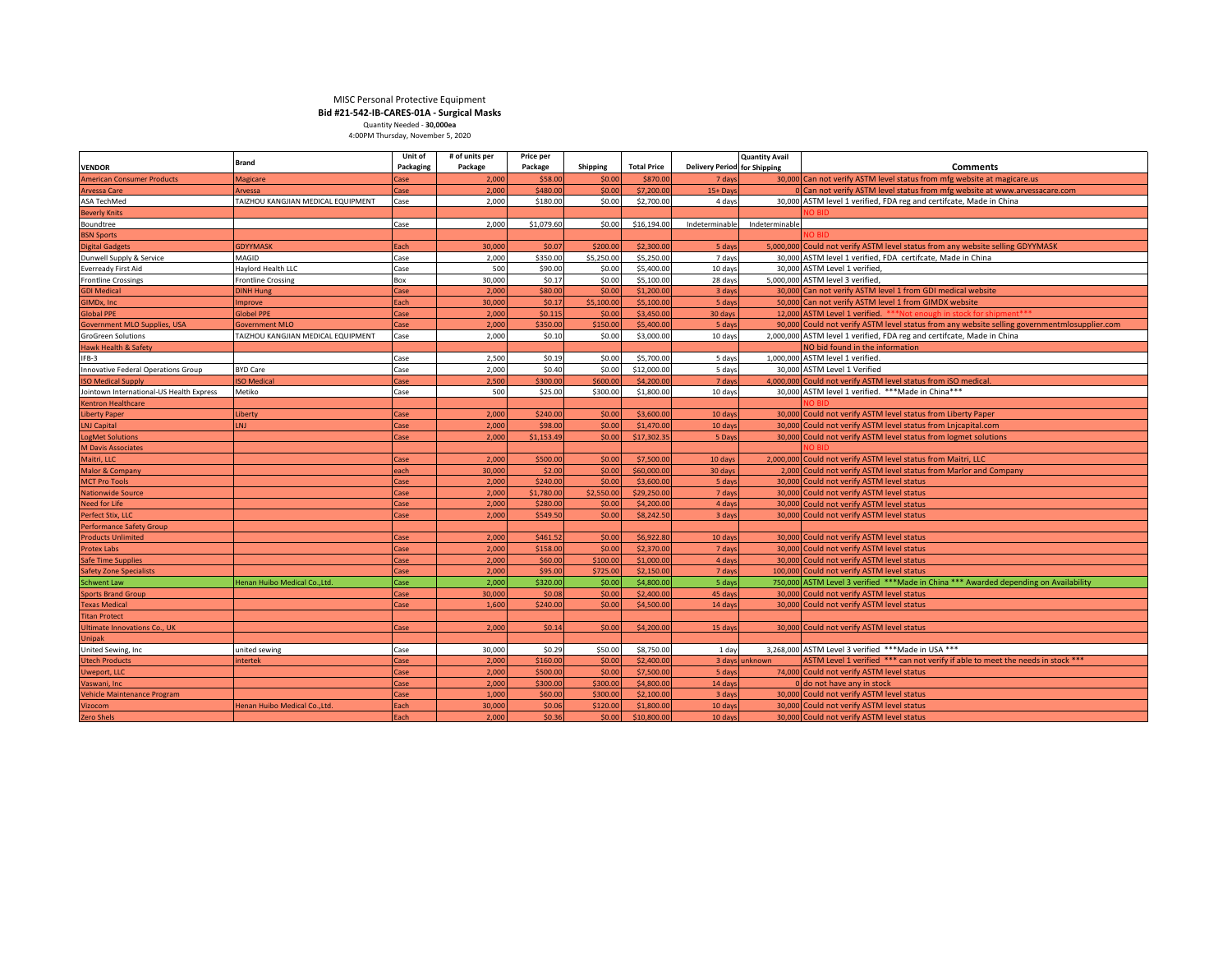# MISC Personal Protective Equipment **Bid #21-542-IB-CARES-01A - Surgical Masks** Quantity Needed - **30,000ea** 4:00PM Thursday, November 5, 2020

|                                          | <b>Brand</b>                       | Unit of   | # of units per | Price per  |                 |                    |                                     | <b>Quantity Avail</b> |                                                                                              |
|------------------------------------------|------------------------------------|-----------|----------------|------------|-----------------|--------------------|-------------------------------------|-----------------------|----------------------------------------------------------------------------------------------|
| <b>VENDOR</b>                            |                                    | Packaging | Package        | Package    | <b>Shipping</b> | <b>Total Price</b> | <b>Delivery Period for Shipping</b> |                       | <b>Comments</b>                                                                              |
| <b>American Consumer Products</b>        | Magicare                           | `ase      | 2,000          | \$58.00    | \$0.00          | \$870.00           | 7 day                               |                       | 30,000 Can not verify ASTM level status from mfg website at magicare.us                      |
| <b>Arvessa Care</b>                      | Arvessa                            | Case      | 2.000          | \$480.00   | \$0.00          | \$7,200.00         | $15 + Day$                          |                       | 0 Can not verify ASTM level status from mfg website at www.arvessacare.com                   |
| ASA TechMed                              | TAIZHOU KANGJIAN MEDICAL EQUIPMENT | Case      | 2.000          | \$180.00   | \$0.00          | \$2,700.00         | 4 days                              |                       | 30,000 ASTM level 1 verified, FDA reg and certifcate, Made in China                          |
| <b>Beverly Knits</b>                     |                                    |           |                |            |                 |                    |                                     |                       |                                                                                              |
| Boundtree                                |                                    | Case      | 2.000          | \$1,079.60 | \$0.00          | \$16,194.00        | Indeterminable                      | Indeterminable        |                                                                                              |
| <b>BSN Sports</b>                        |                                    |           |                |            |                 |                    |                                     |                       |                                                                                              |
| <b>Digital Gadgets</b>                   | <b>GDYYMASK</b>                    | Each      | 30,000         | \$0.07     | \$200.00        | \$2,300.00         | 5 day                               | 5,000,000             | Could not verify ASTM level status from any website selling GDYYMASK                         |
| Dunwell Supply & Service                 | <b>MAGID</b>                       | Case      | 2,000          | \$350.00   | \$5,250.00      | \$5,250.00         | 7 days                              | 30,000                | ASTM level 1 verified, FDA certifcate, Made in China                                         |
| <b>Everready First Aid</b>               | Haylord Health LLC                 | Case      | 500            | \$90.00    | \$0.00          | \$5,400.00         | 10 days                             |                       | 30.000 ASTM Level 1 verified                                                                 |
| <b>Frontline Crossings</b>               | <b>Frontline Crossing</b>          | Box       | 30,000         | \$0.17     | \$0.00          | \$5,100.00         | 28 days                             |                       | 5,000,000 ASTM level 3 verified                                                              |
| <b>GDI Medical</b>                       | <b>DINH Hung</b>                   | Case      | 2.000          | \$80.00    | \$0.00          | \$1,200.00         | 3 day                               | 30,000                | Can not verify ASTM level 1 from GDI medical website                                         |
| GIMDx, Inc.                              | mprove                             | Each      | 30,000         | \$0.17     | \$5,100.00      | \$5,100.00         | 5 days                              |                       | 50,000 Can not verify ASTM level 1 from GIMDX website                                        |
| <b>Global PPE</b>                        | <b>Globel PPE</b>                  | Case      | 2,000          | \$0.115    | \$0.00          | \$3,450.00         | 30 days                             |                       | 12,000 ASTM Level 1 verified. *** Not enough in s                                            |
| <b>Government MLO Supplies, USA</b>      | <b>Government MLO</b>              | Case      | 2.000          | \$350.00   | \$150.00        | \$5,400.00         | 5 day                               |                       | 90,000 Could not verify ASTM level status from any website selling governmentmlosupplier.com |
| <b>GroGreen Solutions</b>                | TAIZHOU KANGJIAN MEDICAL EQUIPMENT | Case      | 2,000          | \$0.10     | \$0.00          | \$3,000.00         | 10 days                             |                       | 2,000,000 ASTM level 1 verified, FDA reg and certifcate, Made in China                       |
| <b>Hawk Health &amp; Safety</b>          |                                    |           |                |            |                 |                    |                                     |                       | NO bid found in the information                                                              |
| IFB-3                                    |                                    | Case      | 2,500          | \$0.19     | \$0.00          | \$5,700.00         | 5 days                              |                       | 1,000,000 ASTM level 1 verified.                                                             |
| Innovative Federal Operations Group      | <b>BYD Care</b>                    | Case      | 2,000          | \$0.40     | \$0.00          | \$12,000.00        | 5 days                              |                       | 30,000 ASTM Level 1 Verified                                                                 |
| <b>ISO Medical Supply</b>                | <b>SO Medical</b>                  | `ase      | 2,500          | \$300.00   | \$600.00        | \$4,200.00         | 7 days                              |                       | 4,000,000 Could not verify ASTM level status from iSO medical                                |
| Jointown International-US Health Express | Metiko                             | Case      | 500            | \$25.00    | \$300.00        | \$1,800.00         | 10 days                             |                       | 30,000 ASTM level 1 verified. *** Made in China***                                           |
| <b>Kentron Healthcare</b>                |                                    |           |                |            |                 |                    |                                     |                       |                                                                                              |
| Liberty Paper                            | Liberty                            | Case      | 2.000          | \$240.00   | \$0.00          | \$3,600.00         | 10 <sub>day</sub>                   | 30,000                | Could not verify ASTM level status from Liberty Paper                                        |
| LNJ Capital                              | LNJ                                | Case      | 2.000          | \$98.00    | \$0.00          | \$1,470.00         | 10 day                              |                       | 30,000 Could not verify ASTM level status from Lnjcapital.com                                |
| <b>pgMet Solutions</b>                   |                                    | Case      | 2.000          | \$1,153.49 | \$0.00          | \$17,302.35        | 5 Day                               | 30,000                | Could not verify ASTM level status from logmet solutions                                     |
| <b>M Davis Associates</b>                |                                    |           |                |            |                 |                    |                                     |                       |                                                                                              |
| Maitri, LLC                              |                                    | Case      | 2.000          | \$500.00   | \$0.00          | \$7,500.00         | 10 days                             | 2.000.000             | Could not verify ASTM level status from Maitri, LLC                                          |
| Malor & Company                          |                                    | each      | 30,000         | \$2.00     | \$0.00          | \$60,000.00        | 30 days                             |                       | 2,000 Could not verify ASTM level status from Marlor and Company                             |
| <b>MCT Pro Tools</b>                     |                                    | Case      | 2,000          | \$240.00   | \$0.00          | \$3,600.00         | 5 day                               |                       | 30,000 Could not verify ASTM level status                                                    |
| <b>Nationwide Source</b>                 |                                    | Case      | 2,000          | \$1,780.00 | \$2,550.00      | \$29,250.00        | 7 day                               | 30,000                | Could not verify ASTM level status                                                           |
| <b>Need for Life</b>                     |                                    | Case      | 2,000          | \$280.00   | \$0.00          | \$4,200.00         | 4 day                               | 30,000                | Could not verify ASTM level status                                                           |
| Perfect Stix, LLC                        |                                    | Case      | 2.000          | \$549.50   | \$0.00          | \$8,242.50         | 3 day                               | 30,000                | Could not verify ASTM level status                                                           |
| <b>Performance Safety Group</b>          |                                    |           |                |            |                 |                    |                                     |                       |                                                                                              |
| <b>Products Unlimited</b>                |                                    | Case      | 2.000          | \$461.52   | \$0.00          | \$6,922.80         | 10 day                              |                       | 30,000 Could not verify ASTM level status                                                    |
| <b>Protex Labs</b>                       |                                    | Case      | 2.000          | \$158.00   | \$0.00          | \$2,370.00         | 7 day                               |                       | 30,000 Could not verify ASTM level status                                                    |
| <b>Safe Time Supplies</b>                |                                    | Case      | 2.000          | \$60,00    | \$100.00        | \$1,000.00         | 4 days                              |                       | 30,000 Could not verify ASTM level status                                                    |
| <b>Safety Zone Specialists</b>           |                                    | Case      | 2,000          | \$95.00    | \$725.00        | \$2,150.00         | 7 days                              |                       | 100,000 Could not verify ASTM level status                                                   |
| <b>Schwent Law</b>                       | Henan Huibo Medical Co., Ltd.      | Case      | 2.000          | \$320.00   | \$0.00          | \$4,800.00         | 5 days                              |                       | 750,000 ASTM Level 3 verified ***Made in China *** Awarded depending on Availability         |
| <b>Sports Brand Group</b>                |                                    | Case      | 30,000         | \$0.08     | \$0.00          | \$2,400.00         | 45 days                             |                       | 30,000 Could not verify ASTM level status                                                    |
| <b>Texas Medical</b>                     |                                    | Case      | 1.600          | \$240.00   | \$0.00          | \$4,500.00         | 14 day                              |                       | 30,000 Could not verify ASTM level status                                                    |
| <b>Titan Protect</b>                     |                                    |           |                |            |                 |                    |                                     |                       |                                                                                              |
| <b>Ultimate Innovations Co., UK</b>      |                                    |           | 2,000          | \$0.14     | \$0.00          | \$4,200.00         | 15 days                             |                       | 30,000 Could not verify ASTM level status                                                    |
|                                          |                                    | Case      |                |            |                 |                    |                                     |                       |                                                                                              |
| Unipak                                   |                                    |           | 30,000         | \$0.29     | \$50.00         | \$8,750.00         | 1 day                               | 3,268,000             | ASTM Level 3 verified *** Made in USA ***                                                    |
| United Sewing, Inc                       | united sewing                      | Case      |                |            |                 |                    |                                     |                       |                                                                                              |
| <b>Utech Products</b>                    | ntertek                            | Case      | 2.000          | \$160.00   | \$0.00          | \$2,400.00         | 3 days                              | <b>unknown</b>        | ASTM Level 1 verified *** can not verify if able to meet the needs in stock ***              |
| Uweport, LLC                             |                                    | Case      | 2,000          | \$500.00   | \$0.00          | \$7,500.00         | 5 days                              |                       | 74,000 Could not verify ASTM level status                                                    |
| Vaswani, Inc.                            |                                    | Case      | 2.000          | \$300.00   | \$300.00        | \$4,800.00         | 14 days                             |                       | 0 do not have any in stock                                                                   |
| Vehicle Maintenance Program              |                                    | Case      | 1,000          | \$60.00    | \$300.00        | \$2,100.00         | 3 day                               |                       | 30,000 Could not verify ASTM level status                                                    |
| <b>Vizocom</b>                           | Henan Huibo Medical Co., Ltd.      | Each      | 30,000         | \$0.06     | \$120.00        | \$1,800.00         | 10 day                              |                       | 30,000 Could not verify ASTM level status                                                    |
| <b>Zero Shels</b>                        |                                    | Each      | 2.000          | \$0.36     | \$0.00          | \$10,800.00        | 10 day                              |                       | 30,000 Could not verify ASTM level status                                                    |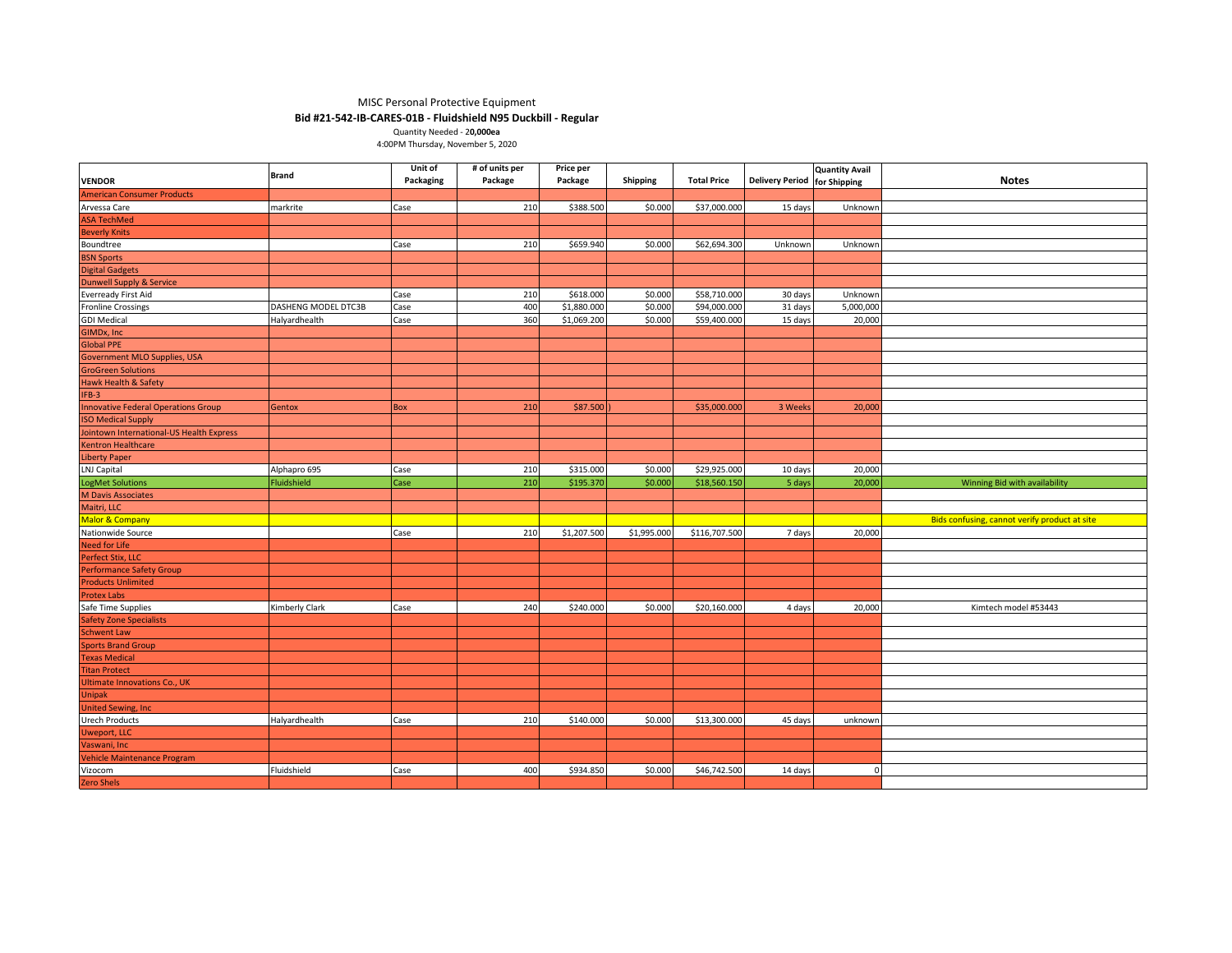### MISC Personal Protective Equipment **Bid #21-542-IB-CARES-01B - Fluidshield N95 Duckbill - Regular**

Quantity Needed - 2**0,000ea**

4:00PM Thursday, November 5, 2020

|                                                                | <b>Brand</b>        | Unit of   | # of units per | Price per   |             |                    |                              | <b>Quantity Avail</b> |                                               |
|----------------------------------------------------------------|---------------------|-----------|----------------|-------------|-------------|--------------------|------------------------------|-----------------------|-----------------------------------------------|
| <b>VENDOR</b>                                                  |                     | Packaging | Package        | Package     | Shipping    | <b>Total Price</b> | Delivery Period for Shipping |                       | <b>Notes</b>                                  |
| <b>American Consumer Products</b>                              |                     |           |                |             |             |                    |                              |                       |                                               |
| Arvessa Care                                                   | markrite            | Case      | 210            | \$388.500   | \$0.000     | \$37,000.000       | 15 days                      | Unknown               |                                               |
| ASA TechMed                                                    |                     |           |                |             |             |                    |                              |                       |                                               |
| <b>Beverly Knits</b>                                           |                     |           |                |             |             |                    |                              |                       |                                               |
| Boundtree                                                      |                     | Case      | 210            | \$659.940   | \$0.000     | \$62,694.300       | Unknown                      | Unknown               |                                               |
| <b>BSN Sports<br/>Digital Gadgets</b>                          |                     |           |                |             |             |                    |                              |                       |                                               |
|                                                                |                     |           |                |             |             |                    |                              |                       |                                               |
|                                                                |                     |           |                |             |             |                    |                              |                       |                                               |
| <b>Dunwell Supply &amp; Service</b><br>Everready First Aid     |                     | Case      | 210            | \$618.000   | \$0.000     | \$58,710.000       | 30 days                      | Unknown               |                                               |
| <b>Fronline Crossings</b>                                      | DASHENG MODEL DTC3B | Case      | 400            | \$1,880.000 | \$0.000     | \$94,000.000       | 31 days                      | 5,000,000             |                                               |
| <b>GDI Medical</b>                                             | Halyardhealth       | Case      | 360            | \$1,069.200 | \$0.000     | \$59,400.000       | 15 days                      | 20,000                |                                               |
| <b>GIMDx, Inc</b>                                              |                     |           |                |             |             |                    |                              |                       |                                               |
| Global PPE                                                     |                     |           |                |             |             |                    |                              |                       |                                               |
|                                                                |                     |           |                |             |             |                    |                              |                       |                                               |
| Government MLO Supplies, USA<br>GroGreen Solutions             |                     |           |                |             |             |                    |                              |                       |                                               |
| Hawk Health & Safety                                           |                     |           |                |             |             |                    |                              |                       |                                               |
| $IFB-3$                                                        |                     |           |                |             |             |                    |                              |                       |                                               |
| <b>Innovative Federal Operations Group</b>                     | Gentox              | Box       | 210            | \$87.500    |             | \$35,000.000       | 3 Weeks                      | 20,000                |                                               |
| <b>ISO Medical Supply</b>                                      |                     |           |                |             |             |                    |                              |                       |                                               |
|                                                                |                     |           |                |             |             |                    |                              |                       |                                               |
| Jointown International-US Health Express<br>Kentron Healthcare |                     |           |                |             |             |                    |                              |                       |                                               |
| <b>Liberty Paper</b>                                           |                     |           |                |             |             |                    |                              |                       |                                               |
| LNJ Capital                                                    | Alphapro 695        | Case      | 210            | \$315.000   | \$0.000     | \$29,925.000       | 10 days                      | 20,000                |                                               |
| <b>LogMet Solutions</b>                                        | Fluidshield         | Case      | 210            | \$195.370   | \$0.000     | \$18,560.150       | 5 days                       | 20,000                | Winning Bid with availability                 |
| M Davis Associates                                             |                     |           |                |             |             |                    |                              |                       |                                               |
| Maitri, LLC                                                    |                     |           |                |             |             |                    |                              |                       |                                               |
| Malor & Company                                                |                     |           |                |             |             |                    |                              |                       | Bids confusing, cannot verify product at site |
| Nationwide Source                                              |                     | Case      | 210            | \$1,207.500 | \$1,995.000 | \$116,707.500      | 7 days                       | 20,000                |                                               |
| <b>Need for Life</b>                                           |                     |           |                |             |             |                    |                              |                       |                                               |
|                                                                |                     |           |                |             |             |                    |                              |                       |                                               |
| Perfect Stix, LLC<br>Performance Safety Group                  |                     |           |                |             |             |                    |                              |                       |                                               |
| <b>Products Unlimited</b>                                      |                     |           |                |             |             |                    |                              |                       |                                               |
| <b>Protex Labs</b>                                             |                     |           |                |             |             |                    |                              |                       |                                               |
|                                                                | Kimberly Clark      | Case      | 240            | \$240.000   | \$0.000     | \$20,160.000       | 4 days                       | 20,000                | Kimtech model #53443                          |
| Safe Time Supplies<br><b>Safety Zone Specialists</b>           |                     |           |                |             |             |                    |                              |                       |                                               |
|                                                                |                     |           |                |             |             |                    |                              |                       |                                               |
| <b>Schwent Law</b>                                             |                     |           |                |             |             |                    |                              |                       |                                               |
| <b>Sports Brand Group</b><br><b>Texas Medical</b>              |                     |           |                |             |             |                    |                              |                       |                                               |
| <b>Titan Protect</b>                                           |                     |           |                |             |             |                    |                              |                       |                                               |
| <b>Ultimate Innovations Co., UK</b>                            |                     |           |                |             |             |                    |                              |                       |                                               |
|                                                                |                     |           |                |             |             |                    |                              |                       |                                               |
| <b>Unipak</b><br><b>United Sewing, Inc.</b>                    |                     |           |                |             |             |                    |                              |                       |                                               |
|                                                                |                     |           |                |             |             |                    |                              |                       |                                               |
| <b>Urech Products</b>                                          | Halyardhealth       | Case      | 210            | \$140.000   | \$0.000     | \$13,300.000       | 45 days                      | unknown               |                                               |
| <b>Uweport, LLC</b>                                            |                     |           |                |             |             |                    |                              |                       |                                               |
| Vaswani, Inc                                                   |                     |           |                |             |             |                    |                              |                       |                                               |
| Vehicle Maintenance Program                                    |                     |           |                |             |             |                    |                              |                       |                                               |
| Vizocom                                                        | Fluidshield         | Case      | 400            | \$934.850   | \$0.000     | \$46,742.500       | 14 days                      | $\Omega$              |                                               |
| Zero Shels                                                     |                     |           |                |             |             |                    |                              |                       |                                               |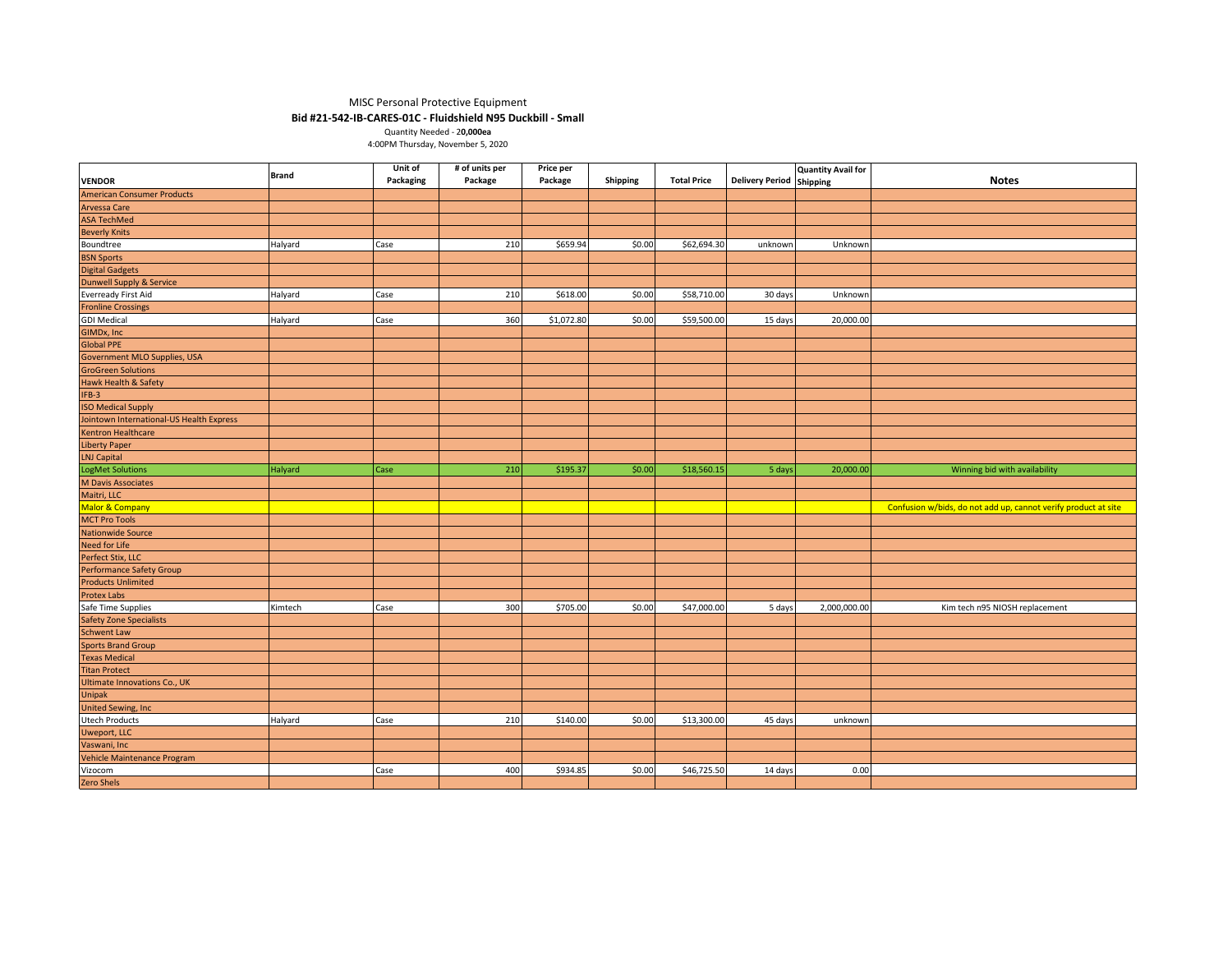## MISC Personal Protective Equipment

## **Bid #21-542-IB-CARES-01C - Fluidshield N95 Duckbill - Small**

Quantity Needed - 2**0,000ea** 4:00PM Thursday, November 5, 2020

|                                                                   | <b>Brand</b> | Unit of<br>Packaging | # of units per<br>Package | Price per<br>Package |          | <b>Total Price</b> | <b>Delivery Period</b> | <b>Quantity Avail for</b> | <b>Notes</b>                                                   |
|-------------------------------------------------------------------|--------------|----------------------|---------------------------|----------------------|----------|--------------------|------------------------|---------------------------|----------------------------------------------------------------|
| <b>VENDOR</b><br><b>American Consumer Products</b>                |              |                      |                           |                      | Shipping |                    |                        | <b>Shipping</b>           |                                                                |
| Arvessa Care                                                      |              |                      |                           |                      |          |                    |                        |                           |                                                                |
| <b>ASA TechMed</b>                                                |              |                      |                           |                      |          |                    |                        |                           |                                                                |
|                                                                   |              |                      |                           |                      |          |                    |                        |                           |                                                                |
| <b>Beverly Knits</b>                                              |              |                      |                           |                      |          |                    |                        |                           |                                                                |
| Boundtree<br><b>BSN Sports</b>                                    | Halyard      | Case                 | 210                       | \$659.94             | \$0.00   | \$62,694.30        | unknown                | Unknown                   |                                                                |
|                                                                   |              |                      |                           |                      |          |                    |                        |                           |                                                                |
| <b>Digital Gadgets</b>                                            |              |                      |                           |                      |          |                    |                        |                           |                                                                |
| <b>Dunwell Supply &amp; Service</b><br><b>Everready First Aid</b> |              |                      |                           |                      |          |                    |                        |                           |                                                                |
|                                                                   | Halyard      | Case                 | 210                       | \$618.00             | \$0.00   | \$58,710.00        | 30 days                | Unknown                   |                                                                |
| <b>Fronline Crossings</b>                                         |              |                      |                           |                      |          |                    |                        |                           |                                                                |
| <b>GDI Medical</b>                                                | Halyard      | Case                 | 360                       | \$1,072.80           | \$0.00   | \$59,500.00        | 15 days                | 20,000.00                 |                                                                |
| GIMDx, Inc<br><b>Global PPE</b>                                   |              |                      |                           |                      |          |                    |                        |                           |                                                                |
|                                                                   |              |                      |                           |                      |          |                    |                        |                           |                                                                |
| Government MLO Supplies, USA<br><b>GroGreen Solutions</b>         |              |                      |                           |                      |          |                    |                        |                           |                                                                |
| Hawk Health & Safety                                              |              |                      |                           |                      |          |                    |                        |                           |                                                                |
| IFB-3                                                             |              |                      |                           |                      |          |                    |                        |                           |                                                                |
| <b>SO Medical Supply</b>                                          |              |                      |                           |                      |          |                    |                        |                           |                                                                |
| Iointown International-US Health Express                          |              |                      |                           |                      |          |                    |                        |                           |                                                                |
| Kentron Healthcare                                                |              |                      |                           |                      |          |                    |                        |                           |                                                                |
| iberty Paper                                                      |              |                      |                           |                      |          |                    |                        |                           |                                                                |
| <b>LNJ Capital</b>                                                |              |                      |                           |                      |          |                    |                        |                           |                                                                |
| LogMet Solutions                                                  |              |                      | 210                       | \$195.37             | \$0.00   | \$18,560.15        | 5 days                 | 20,000.00                 | Winning bid with availability                                  |
| <b>M Davis Associates</b>                                         | Halyard      | Case                 |                           |                      |          |                    |                        |                           |                                                                |
| Maitri, LLC                                                       |              |                      |                           |                      |          |                    |                        |                           |                                                                |
| Malor & Company                                                   |              |                      |                           |                      |          |                    |                        |                           | Confusion w/bids, do not add up, cannot verify product at site |
| <b>MCT Pro Tools</b>                                              |              |                      |                           |                      |          |                    |                        |                           |                                                                |
| <b>Nationwide Source</b>                                          |              |                      |                           |                      |          |                    |                        |                           |                                                                |
| Need for Life                                                     |              |                      |                           |                      |          |                    |                        |                           |                                                                |
| Perfect Stix, LLC                                                 |              |                      |                           |                      |          |                    |                        |                           |                                                                |
| <b>Performance Safety Group</b>                                   |              |                      |                           |                      |          |                    |                        |                           |                                                                |
| <b>Products Unlimited</b>                                         |              |                      |                           |                      |          |                    |                        |                           |                                                                |
| <b>Protex Labs</b>                                                |              |                      |                           |                      |          |                    |                        |                           |                                                                |
| Safe Time Supplies                                                | Kimtech      | Case                 | 300                       | \$705.00             | \$0.00   | \$47,000.00        | 5 days                 | 2,000,000.00              | Kim tech n95 NIOSH replacement                                 |
| <b>Safety Zone Specialists</b>                                    |              |                      |                           |                      |          |                    |                        |                           |                                                                |
| Schwent Law                                                       |              |                      |                           |                      |          |                    |                        |                           |                                                                |
| <b>Sports Brand Group</b>                                         |              |                      |                           |                      |          |                    |                        |                           |                                                                |
| <b>Texas Medical</b>                                              |              |                      |                           |                      |          |                    |                        |                           |                                                                |
| <b>Titan Protect</b>                                              |              |                      |                           |                      |          |                    |                        |                           |                                                                |
| <b>Ultimate Innovations Co., UK</b>                               |              |                      |                           |                      |          |                    |                        |                           |                                                                |
| Unipak                                                            |              |                      |                           |                      |          |                    |                        |                           |                                                                |
| <b>United Sewing, Inc.</b>                                        |              |                      |                           |                      |          |                    |                        |                           |                                                                |
| <b>Utech Products</b>                                             | Halyard      | Case                 | 210                       | \$140.00             | \$0.00   | \$13,300.00        | 45 days                | unknown                   |                                                                |
| Uweport, LLC                                                      |              |                      |                           |                      |          |                    |                        |                           |                                                                |
| Vaswani, Inc                                                      |              |                      |                           |                      |          |                    |                        |                           |                                                                |
| Vehicle Maintenance Program                                       |              |                      |                           |                      |          |                    |                        |                           |                                                                |
| Vizocom                                                           |              | Case                 | 400                       | \$934.85             | \$0.00   | \$46,725.50        | 14 days                | 0.00                      |                                                                |
| <b>Zero Shels</b>                                                 |              |                      |                           |                      |          |                    |                        |                           |                                                                |
|                                                                   |              |                      |                           |                      |          |                    |                        |                           |                                                                |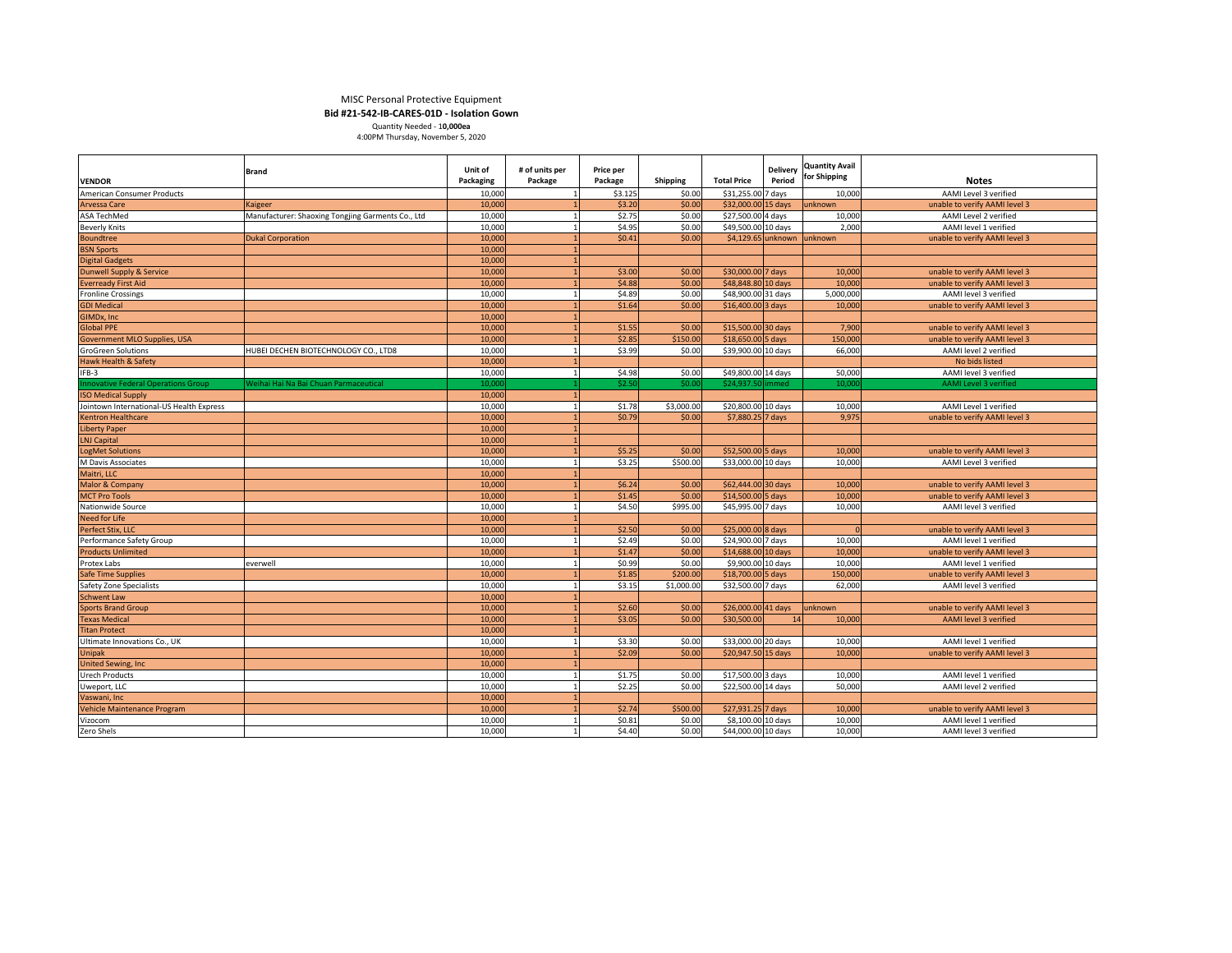|                                            |                                                   |                  |                |           |                 |                      |                 | <b>Quantity Avail</b> |                               |
|--------------------------------------------|---------------------------------------------------|------------------|----------------|-----------|-----------------|----------------------|-----------------|-----------------------|-------------------------------|
|                                            | Brand                                             | Unit of          | # of units per | Price per |                 |                      | <b>Delivery</b> | for Shipping          |                               |
| <b>VENDOR</b>                              |                                                   | <b>Packaging</b> | Package        | Package   | <b>Shipping</b> | <b>Total Price</b>   | Period          |                       | <b>Notes</b>                  |
| American Consumer Products                 |                                                   | 10,000           |                | \$3.125   | \$0.00          | \$31,255.00          | 7 days          | 10,000                | AAMI Level 3 verified         |
| <b>Arvessa Care</b>                        | Kaigeer                                           | 10,000           |                | \$3.20    | \$0.00          | $$32,000.00$ 15 days |                 | unknown               | unable to verify AAMI level 3 |
| <b>ASA TechMed</b>                         | Manufacturer: Shaoxing Tongjing Garments Co., Ltd | 10,000           |                | \$2.75    | \$0.00          | $$27,500.00$ 4 days  |                 | 10,000                | AAMI Level 2 verified         |
| <b>Beverly Knits</b>                       |                                                   | 10,000           |                | \$4.95    | \$0.00          | \$49,500.00 10 days  |                 | 2,000                 | AAMI level 1 verified         |
| <b>Boundtree</b>                           | <b>Dukal Corporation</b>                          | 10,000           |                | \$0.41    | \$0.00          | $$4,129.65$ unknown  |                 | lunknown              | unable to verify AAMI level 3 |
| <b>BSN Sports</b>                          |                                                   | 10,000           |                |           |                 |                      |                 |                       |                               |
| <b>Digital Gadgets</b>                     |                                                   | 10,000           |                |           |                 |                      |                 |                       |                               |
| Dunwell Supply & Service                   |                                                   | 10,000           |                | \$3.00    | \$0.00          | $$30,000.00$ 7 days  |                 | 10,000                | unable to verify AAMI level 3 |
| <b>Everready First Aid</b>                 |                                                   | 10,000           |                | \$4.88    | \$0.00          | $$48,848.80$ 10 days |                 | 10,000                | unable to verify AAMI level 3 |
| <b>Fronline Crossings</b>                  |                                                   | 10,000           |                | \$4.89    | \$0.00          | \$48,900.00 31 days  |                 | 5,000,000             | AAMI level 3 verified         |
| <b>GDI Medical</b>                         |                                                   | 10,000           |                | \$1.64    | \$0.00          | $$16,400.00]$ 3 days |                 | 10,000                | unable to verify AAMI level 3 |
| GIMDx, Inc                                 |                                                   | 10,000           |                |           |                 |                      |                 |                       |                               |
| <b>Global PPE</b>                          |                                                   | 10,000           |                | \$1.55    | \$0.00          | $$15,500.00$ 30 days |                 | 7,900                 | unable to verify AAMI level 3 |
| <b>Government MLO Supplies, USA</b>        |                                                   | 10,000           |                | \$2.85    | \$150.00        | $$18,650.00$ 5 days  |                 | 150,000               | unable to verify AAMI level 3 |
| <b>GroGreen Solutions</b>                  | HUBEI DECHEN BIOTECHNOLOGY CO., LTD8              | 10,000           |                | \$3.99    | \$0.00          | \$39,900.00 10 days  |                 | 66,000                | AAMI level 2 verified         |
| <b>Hawk Health &amp; Safety</b>            |                                                   | 10,000           |                |           |                 |                      |                 |                       | No bids listed                |
| IFB-3                                      |                                                   | 10,000           |                | \$4.98    | \$0.00          | \$49,800.00 14 days  |                 | 50,000                | AAMI level 3 verified         |
| <b>Innovative Federal Operations Group</b> | Weihai Hai Na Bai Chuan Parmaceutical             | 10,000           |                | \$2.50    | \$0.00          | \$24,937.50 immed    |                 | 10,000                | <b>AAMI Level 3 verified</b>  |
| <b>ISO Medical Supply</b>                  |                                                   | 10,000           |                |           |                 |                      |                 |                       |                               |
| Jointown International-US Health Express   |                                                   | 10,000           |                | \$1.78    | \$3,000.00      | \$20,800.00 10 days  |                 | 10,000                | AAMI Level 1 verified         |
| <b>Kentron Healthcare</b>                  |                                                   | 10,000           |                | \$0.79    | \$0.00          | $$7,880.25$ 7 days   |                 | 9,975                 | unable to verify AAMI level 3 |
| <b>Liberty Paper</b>                       |                                                   | 10,000           |                |           |                 |                      |                 |                       |                               |
| <b>LNJ Capital</b>                         |                                                   | 10,000           |                |           |                 |                      |                 |                       |                               |
| <b>LogMet Solutions</b>                    |                                                   | 10,000           |                | \$5.25    | \$0.00          | $$52,500.00$ 5 days  |                 | 10,000                | unable to verify AAMI level 3 |
| M Davis Associates                         |                                                   | 10,000           |                | \$3.25    | \$500.00        | \$33,000.00 10 days  |                 | 10,000                | AAMI Level 3 verified         |
| Maitri, LLC                                |                                                   | 10,000           |                |           |                 |                      |                 |                       |                               |
| Malor & Company                            |                                                   | 10,000           |                | \$6.24    | \$0.00          | \$62,444.00 30 days  |                 | 10,000                | unable to verify AAMI level 3 |
| <b>MCT Pro Tools</b>                       |                                                   | 10,000           |                | \$1.45    | \$0.00          | $$14,500.00$ 5 days  |                 | 10,000                | unable to verify AAMI level 3 |
| Nationwide Source                          |                                                   | 10,000           |                | \$4.50    | \$995.00        | \$45,995.00 7 days   |                 | 10,000                | AAMI level 3 verified         |
| Need for Life                              |                                                   | 10,000           |                |           |                 |                      |                 |                       |                               |
| Perfect Stix, LLC                          |                                                   | 10,000           |                | \$2.50    | \$0.00          | $$25,000.00 8$ days  |                 |                       | unable to verify AAMI level 3 |
| Performance Safety Group                   |                                                   | 10,000           |                | \$2.49    | \$0.00          | \$24,900.00 7 days   |                 | 10,000                | AAMI level 1 verified         |
| <b>Products Unlimited</b>                  |                                                   | 10,000           |                | \$1.47    | \$0.00          | \$14,688.00 10 days  |                 | 10,000                | unable to verify AAMI level 3 |
| Protex Labs                                | everwell                                          | 10,000           |                | \$0.99    | \$0.00          | \$9,900.00 10 days   |                 | 10,000                | AAMI level 1 verified         |
| <b>Safe Time Supplies</b>                  |                                                   | 10,000           |                | \$1.85    | \$200.00        | $$18,700.00$ 5 days  |                 | 150,000               | unable to verify AAMI level 3 |
| Safety Zone Specialists                    |                                                   | 10,000           |                | \$3.15    | \$1,000.00      | \$32,500.00 7 days   |                 | 62,000                | AAMI level 3 verified         |
| <b>Schwent Law</b>                         |                                                   | 10,000           |                |           |                 |                      |                 |                       |                               |
| <b>Sports Brand Group</b>                  |                                                   | 10,000           |                | \$2.60    | \$0.00          | $$26,000.00$ 41 days |                 | lunknown              | unable to verify AAMI level 3 |
| <b>Texas Medical</b>                       |                                                   | 10,000           |                | \$3.05    | \$0.00          | \$30,500.00          | 14              | 10,000                | <b>AAMI</b> level 3 verified  |
| <b>Titan Protect</b>                       |                                                   | 10,000           |                |           |                 |                      |                 |                       |                               |
| Ultimate Innovations Co., UK               |                                                   | 10,000           |                | \$3.30    | \$0.00          | \$33,000.00 20 days  |                 | 10,000                | AAMI level 1 verified         |
| <b>Unipak</b>                              |                                                   | 10,000           |                | \$2.09    | \$0.00          | $$20,947.50$ 15 days |                 | 10,000                | unable to verify AAMI level 3 |
| <b>United Sewing, Inc.</b>                 |                                                   | 10,000           |                |           |                 |                      |                 |                       |                               |
| <b>Urech Products</b>                      |                                                   | 10,000           |                | \$1.75    | \$0.00          | $$17,500.00$ 3 days  |                 | 10,000                | AAMI level 1 verified         |
| Uweport, LLC                               |                                                   | 10,000           |                | \$2.25    | \$0.00          | $$22,500.00$ 14 days |                 | 50,000                | AAMI level 2 verified         |
| Vaswani, Inc                               |                                                   | 10,000           |                |           |                 |                      |                 |                       |                               |
| Vehicle Maintenance Program                |                                                   | 10,000           |                | \$2.74    | \$500.00        | $$27,931.25$ 7 days  |                 | 10,000                | unable to verify AAMI level 3 |
| Vizocom                                    |                                                   | 10,000           |                | \$0.81    | \$0.00          | $$8,100.00$ 10 days  |                 | 10,000                | AAMI level 1 verified         |
| Zero Shels                                 |                                                   | 10,000           |                | \$4.40    | \$0.00          | \$44,000.00 10 days  |                 | 10,000                | AAMI level 3 verified         |
|                                            |                                                   |                  |                |           |                 |                      |                 |                       |                               |

# MISC Personal Protective Equipment **Bid #21-542-IB-CARES-01D - Isolation Gown**

Quantity Needed - 1**0,000ea**

4:00PM Thursday, November 5, 2020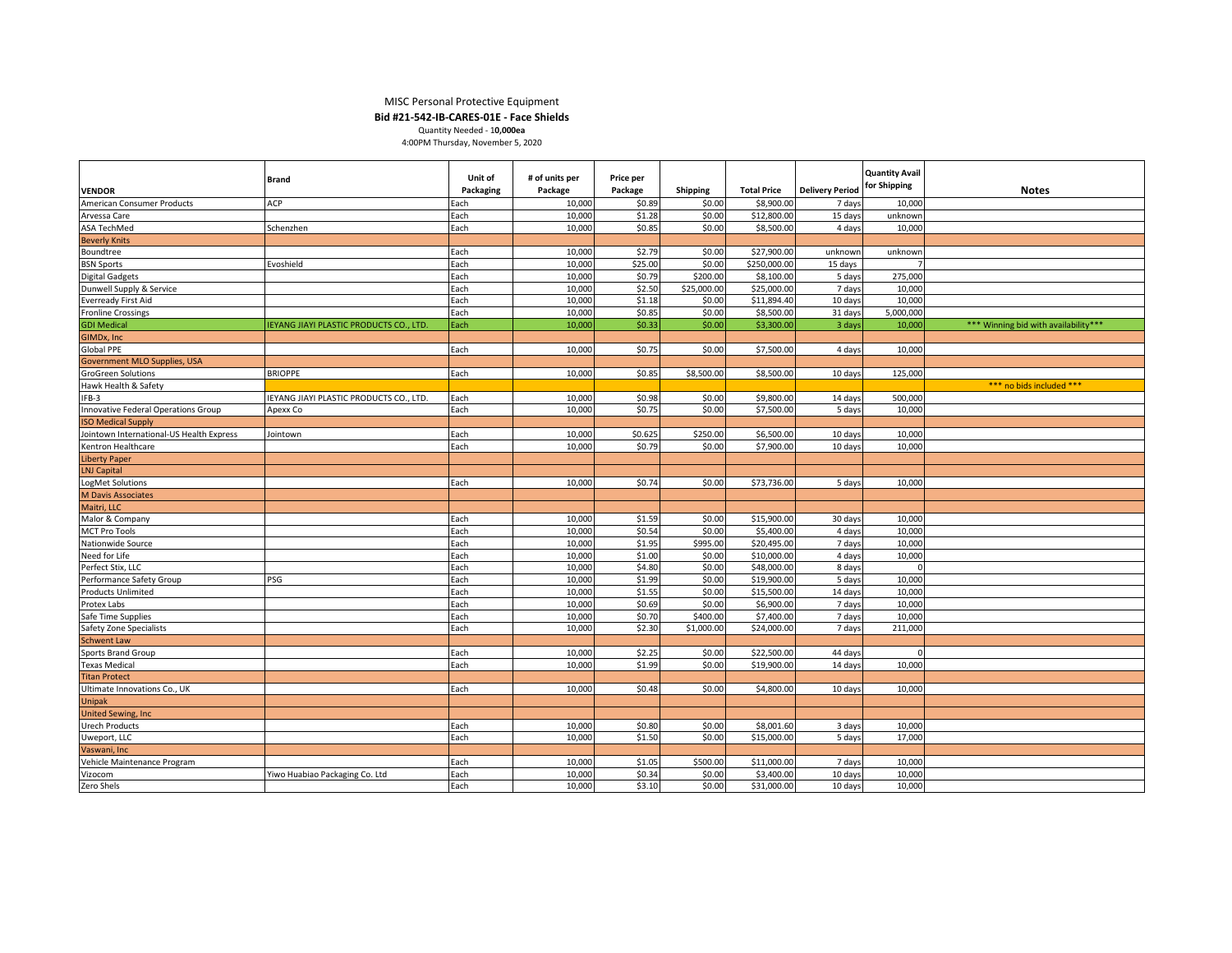#### MISC Personal Protective Equipment

**Bid #21-542-IB-CARES-01E - Face Shields**

| Quantity Needed - 10.000ea        |  |
|-----------------------------------|--|
| 4:00PM Thursday, November 5, 2020 |  |

| Unit of<br># of units per<br>Price per<br><b>Brand</b><br>for Shipping<br>Package<br>Package<br><b>Total Price</b><br><b>Delivery Period</b><br><b>Notes</b><br><b>VENDOR</b><br>Packaging<br>Shipping<br>ACP<br>American Consumer Products<br>Each<br>10,000<br>\$0.89<br>\$0.00<br>\$8,900.00<br>7 days<br>10,000<br>Each<br>10,000<br>\$1.28<br>\$0.00<br>\$12,800.00<br>15 days<br>unknowr<br>Arvessa Care<br>\$0.85<br>ASA TechMed<br>Each<br>10,000<br>\$0.00<br>\$8,500.00<br>4 days<br>Schenzhen<br>10,000<br><b>Beverly Knits</b><br>10,000<br>\$2.79<br>\$0.00<br>\$27,900.00<br>Boundtree<br>Each<br>unknown<br>unknow<br>\$0.00<br><b>BSN Sports</b><br>Each<br>10,000<br>\$25.00<br>\$250,000.00<br>Evoshield<br>15 days<br>Each<br>\$0.79<br>\$200.00<br>275,000<br>10,000<br>\$8,100.00<br>5 days<br><b>Digital Gadgets</b><br>Dunwell Supply & Service<br>Each<br>10,000<br>\$2.50<br>\$25,000.00<br>\$25,000.00<br>7 days<br>10,000<br>10,000<br>\$1.18<br>\$0.00<br>\$11,894.40<br>10 days<br>10,000<br><b>Everready First Aid</b><br>Each<br>\$0.85<br>\$0.00<br><b>Fronline Crossings</b><br>Each<br>10,000<br>\$8,500.00<br>31 days<br>5,000,000<br>\$0.33<br>\$0.00<br>10,000<br>*** Winning bid with availability***<br><b>GDI Medical</b><br><b>IEYANG JIAYI PLASTIC PRODUCTS CO., LTD.</b><br>Each<br>10,000<br>\$3,300.00<br>3 days<br>GIMDx, Inc.<br>Global PPE<br>\$0.75<br>\$0.00<br>10,000<br>Each<br>10,000<br>\$7,500.00<br>4 days<br>Government MLO Supplies, USA<br>Each<br>\$0.85<br>\$8,500.00<br><b>GroGreen Solutions</b><br><b>BRIOPPE</b><br>10,000<br>\$8,500.00<br>10 days<br>125,000<br>Hawk Health & Safety<br>*** no bids included ***<br>10,000<br>\$0.98<br>\$0.00<br>\$9,800.00<br>500,000<br>IFB-3<br>IEYANG JIAYI PLASTIC PRODUCTS CO., LTD.<br>Each<br>14 days<br>\$0.75<br>\$0.00<br>Each<br>10,000<br>\$7,500.00<br>5 days<br>10,000<br>Innovative Federal Operations Group<br>Apexx Co<br><b>ISO Medical Supply</b><br>Jointown International-US Health Express<br>Each<br>10,000<br>\$0.625<br>\$250.00<br>\$6,500.00<br>10 days<br>10,000<br>Jointown<br>Each<br>\$0.79<br>10,000<br>\$0.00<br>\$7,900.00<br>10,000<br>Kentron Healthcare<br>10 days<br><b>Liberty Paper</b><br><b>LNJ Capital</b><br>10,000<br>\$0.74<br>\$0.00<br>LogMet Solutions<br>Each<br>\$73,736.00<br>5 days<br>10,000<br><b>M Davis Associates</b><br>Maitri, LLC<br>10,000<br>\$1.59<br>\$0.00<br>Malor & Company<br>Each<br>\$15,900.00<br>30 days<br>10,000<br>\$0.54<br>Each<br>10,000<br>\$0.00<br>\$5,400.00<br>4 days<br>10,000<br><b>MCT Pro Tools</b><br>Nationwide Source<br>Each<br>\$1.95<br>\$995.00<br>\$20,495.00<br>7 days<br>10,000<br>10,000<br>Need for Life<br>Each<br>10,000<br>\$1.00<br>\$0.00<br>\$10,000.00<br>4 days<br>10,000<br>Perfect Stix, LLC<br>Each<br>10,000<br>\$4.80<br>\$0.00<br>\$48,000.00<br>8 days<br>PSG<br>10,000<br>\$1.99<br>\$0.00<br>Performance Safety Group<br>Each<br>\$19,900.00<br>5 days<br>10,000<br>\$1.55<br>\$0.00<br>\$15,500.00<br><b>Products Unlimited</b><br>Each<br>10,000<br>14 days<br>10,000<br>\$0.69<br>Protex Labs<br>Each<br>10,000<br>\$0.00<br>\$6,900.00<br>7 days<br>10,000<br>Each<br>\$0.70<br>10,000<br>\$400.00<br>\$7,400.00<br>7 days<br>10,000<br>Safe Time Supplies<br>Each<br>\$2.30<br><b>Safety Zone Specialists</b><br>10,000<br>\$1,000.00<br>\$24,000.00<br>7 days<br>211,000<br><b>Schwent Law</b><br>\$0.00<br>\$22,500.00<br>Sports Brand Group<br>Each<br>10,000<br>\$2.25<br>44 days<br>n<br>\$1.99<br>Each<br>10,000<br>\$0.00<br>\$19,900.00<br>14 days<br>10,000<br><b>Texas Medical</b><br><b>Titan Protect</b><br>Each<br>10,000<br>\$0.48<br>\$0.00<br>10 days<br>Ultimate Innovations Co., UK<br>\$4,800.00<br>10,000<br><b>Unipak</b><br><b>United Sewing, Inc.</b><br>\$0.80<br>\$0.00<br>\$8,001.60<br><b>Urech Products</b><br>Each<br>10,000<br>3 days<br>10,000<br>\$1.50<br>\$0.00<br>\$15,000.00<br>Uweport, LLC<br>Each<br>10,000<br>5 days<br>17,000<br>Vaswani, Inc.<br>Vehicle Maintenance Program<br>10,000<br>\$1.05<br>\$500.00<br>\$11,000.00<br>7 days<br>10,000<br>Each |         |                                |      |        |        |        |            |         |                       |  |
|----------------------------------------------------------------------------------------------------------------------------------------------------------------------------------------------------------------------------------------------------------------------------------------------------------------------------------------------------------------------------------------------------------------------------------------------------------------------------------------------------------------------------------------------------------------------------------------------------------------------------------------------------------------------------------------------------------------------------------------------------------------------------------------------------------------------------------------------------------------------------------------------------------------------------------------------------------------------------------------------------------------------------------------------------------------------------------------------------------------------------------------------------------------------------------------------------------------------------------------------------------------------------------------------------------------------------------------------------------------------------------------------------------------------------------------------------------------------------------------------------------------------------------------------------------------------------------------------------------------------------------------------------------------------------------------------------------------------------------------------------------------------------------------------------------------------------------------------------------------------------------------------------------------------------------------------------------------------------------------------------------------------------------------------------------------------------------------------------------------------------------------------------------------------------------------------------------------------------------------------------------------------------------------------------------------------------------------------------------------------------------------------------------------------------------------------------------------------------------------------------------------------------------------------------------------------------------------------------------------------------------------------------------------------------------------------------------------------------------------------------------------------------------------------------------------------------------------------------------------------------------------------------------------------------------------------------------------------------------------------------------------------------------------------------------------------------------------------------------------------------------------------------------------------------------------------------------------------------------------------------------------------------------------------------------------------------------------------------------------------------------------------------------------------------------------------------------------------------------------------------------------------------------------------------------------------------------------------------------------------------------------------------------------------------------------------------------------------------------------------------------------------------------------------------------------------------------------------------------------------------------------------------------------------------------------------------------------------------------------------------------------------------------------------------------------------------------------------------------------------------------|---------|--------------------------------|------|--------|--------|--------|------------|---------|-----------------------|--|
|                                                                                                                                                                                                                                                                                                                                                                                                                                                                                                                                                                                                                                                                                                                                                                                                                                                                                                                                                                                                                                                                                                                                                                                                                                                                                                                                                                                                                                                                                                                                                                                                                                                                                                                                                                                                                                                                                                                                                                                                                                                                                                                                                                                                                                                                                                                                                                                                                                                                                                                                                                                                                                                                                                                                                                                                                                                                                                                                                                                                                                                                                                                                                                                                                                                                                                                                                                                                                                                                                                                                                                                                                                                                                                                                                                                                                                                                                                                                                                                                                                                                                                                                  |         |                                |      |        |        |        |            |         | <b>Quantity Avail</b> |  |
|                                                                                                                                                                                                                                                                                                                                                                                                                                                                                                                                                                                                                                                                                                                                                                                                                                                                                                                                                                                                                                                                                                                                                                                                                                                                                                                                                                                                                                                                                                                                                                                                                                                                                                                                                                                                                                                                                                                                                                                                                                                                                                                                                                                                                                                                                                                                                                                                                                                                                                                                                                                                                                                                                                                                                                                                                                                                                                                                                                                                                                                                                                                                                                                                                                                                                                                                                                                                                                                                                                                                                                                                                                                                                                                                                                                                                                                                                                                                                                                                                                                                                                                                  |         |                                |      |        |        |        |            |         |                       |  |
|                                                                                                                                                                                                                                                                                                                                                                                                                                                                                                                                                                                                                                                                                                                                                                                                                                                                                                                                                                                                                                                                                                                                                                                                                                                                                                                                                                                                                                                                                                                                                                                                                                                                                                                                                                                                                                                                                                                                                                                                                                                                                                                                                                                                                                                                                                                                                                                                                                                                                                                                                                                                                                                                                                                                                                                                                                                                                                                                                                                                                                                                                                                                                                                                                                                                                                                                                                                                                                                                                                                                                                                                                                                                                                                                                                                                                                                                                                                                                                                                                                                                                                                                  |         |                                |      |        |        |        |            |         |                       |  |
|                                                                                                                                                                                                                                                                                                                                                                                                                                                                                                                                                                                                                                                                                                                                                                                                                                                                                                                                                                                                                                                                                                                                                                                                                                                                                                                                                                                                                                                                                                                                                                                                                                                                                                                                                                                                                                                                                                                                                                                                                                                                                                                                                                                                                                                                                                                                                                                                                                                                                                                                                                                                                                                                                                                                                                                                                                                                                                                                                                                                                                                                                                                                                                                                                                                                                                                                                                                                                                                                                                                                                                                                                                                                                                                                                                                                                                                                                                                                                                                                                                                                                                                                  |         |                                |      |        |        |        |            |         |                       |  |
|                                                                                                                                                                                                                                                                                                                                                                                                                                                                                                                                                                                                                                                                                                                                                                                                                                                                                                                                                                                                                                                                                                                                                                                                                                                                                                                                                                                                                                                                                                                                                                                                                                                                                                                                                                                                                                                                                                                                                                                                                                                                                                                                                                                                                                                                                                                                                                                                                                                                                                                                                                                                                                                                                                                                                                                                                                                                                                                                                                                                                                                                                                                                                                                                                                                                                                                                                                                                                                                                                                                                                                                                                                                                                                                                                                                                                                                                                                                                                                                                                                                                                                                                  |         |                                |      |        |        |        |            |         |                       |  |
|                                                                                                                                                                                                                                                                                                                                                                                                                                                                                                                                                                                                                                                                                                                                                                                                                                                                                                                                                                                                                                                                                                                                                                                                                                                                                                                                                                                                                                                                                                                                                                                                                                                                                                                                                                                                                                                                                                                                                                                                                                                                                                                                                                                                                                                                                                                                                                                                                                                                                                                                                                                                                                                                                                                                                                                                                                                                                                                                                                                                                                                                                                                                                                                                                                                                                                                                                                                                                                                                                                                                                                                                                                                                                                                                                                                                                                                                                                                                                                                                                                                                                                                                  |         |                                |      |        |        |        |            |         |                       |  |
|                                                                                                                                                                                                                                                                                                                                                                                                                                                                                                                                                                                                                                                                                                                                                                                                                                                                                                                                                                                                                                                                                                                                                                                                                                                                                                                                                                                                                                                                                                                                                                                                                                                                                                                                                                                                                                                                                                                                                                                                                                                                                                                                                                                                                                                                                                                                                                                                                                                                                                                                                                                                                                                                                                                                                                                                                                                                                                                                                                                                                                                                                                                                                                                                                                                                                                                                                                                                                                                                                                                                                                                                                                                                                                                                                                                                                                                                                                                                                                                                                                                                                                                                  |         |                                |      |        |        |        |            |         |                       |  |
|                                                                                                                                                                                                                                                                                                                                                                                                                                                                                                                                                                                                                                                                                                                                                                                                                                                                                                                                                                                                                                                                                                                                                                                                                                                                                                                                                                                                                                                                                                                                                                                                                                                                                                                                                                                                                                                                                                                                                                                                                                                                                                                                                                                                                                                                                                                                                                                                                                                                                                                                                                                                                                                                                                                                                                                                                                                                                                                                                                                                                                                                                                                                                                                                                                                                                                                                                                                                                                                                                                                                                                                                                                                                                                                                                                                                                                                                                                                                                                                                                                                                                                                                  |         |                                |      |        |        |        |            |         |                       |  |
|                                                                                                                                                                                                                                                                                                                                                                                                                                                                                                                                                                                                                                                                                                                                                                                                                                                                                                                                                                                                                                                                                                                                                                                                                                                                                                                                                                                                                                                                                                                                                                                                                                                                                                                                                                                                                                                                                                                                                                                                                                                                                                                                                                                                                                                                                                                                                                                                                                                                                                                                                                                                                                                                                                                                                                                                                                                                                                                                                                                                                                                                                                                                                                                                                                                                                                                                                                                                                                                                                                                                                                                                                                                                                                                                                                                                                                                                                                                                                                                                                                                                                                                                  |         |                                |      |        |        |        |            |         |                       |  |
|                                                                                                                                                                                                                                                                                                                                                                                                                                                                                                                                                                                                                                                                                                                                                                                                                                                                                                                                                                                                                                                                                                                                                                                                                                                                                                                                                                                                                                                                                                                                                                                                                                                                                                                                                                                                                                                                                                                                                                                                                                                                                                                                                                                                                                                                                                                                                                                                                                                                                                                                                                                                                                                                                                                                                                                                                                                                                                                                                                                                                                                                                                                                                                                                                                                                                                                                                                                                                                                                                                                                                                                                                                                                                                                                                                                                                                                                                                                                                                                                                                                                                                                                  |         |                                |      |        |        |        |            |         |                       |  |
|                                                                                                                                                                                                                                                                                                                                                                                                                                                                                                                                                                                                                                                                                                                                                                                                                                                                                                                                                                                                                                                                                                                                                                                                                                                                                                                                                                                                                                                                                                                                                                                                                                                                                                                                                                                                                                                                                                                                                                                                                                                                                                                                                                                                                                                                                                                                                                                                                                                                                                                                                                                                                                                                                                                                                                                                                                                                                                                                                                                                                                                                                                                                                                                                                                                                                                                                                                                                                                                                                                                                                                                                                                                                                                                                                                                                                                                                                                                                                                                                                                                                                                                                  |         |                                |      |        |        |        |            |         |                       |  |
|                                                                                                                                                                                                                                                                                                                                                                                                                                                                                                                                                                                                                                                                                                                                                                                                                                                                                                                                                                                                                                                                                                                                                                                                                                                                                                                                                                                                                                                                                                                                                                                                                                                                                                                                                                                                                                                                                                                                                                                                                                                                                                                                                                                                                                                                                                                                                                                                                                                                                                                                                                                                                                                                                                                                                                                                                                                                                                                                                                                                                                                                                                                                                                                                                                                                                                                                                                                                                                                                                                                                                                                                                                                                                                                                                                                                                                                                                                                                                                                                                                                                                                                                  |         |                                |      |        |        |        |            |         |                       |  |
|                                                                                                                                                                                                                                                                                                                                                                                                                                                                                                                                                                                                                                                                                                                                                                                                                                                                                                                                                                                                                                                                                                                                                                                                                                                                                                                                                                                                                                                                                                                                                                                                                                                                                                                                                                                                                                                                                                                                                                                                                                                                                                                                                                                                                                                                                                                                                                                                                                                                                                                                                                                                                                                                                                                                                                                                                                                                                                                                                                                                                                                                                                                                                                                                                                                                                                                                                                                                                                                                                                                                                                                                                                                                                                                                                                                                                                                                                                                                                                                                                                                                                                                                  |         |                                |      |        |        |        |            |         |                       |  |
|                                                                                                                                                                                                                                                                                                                                                                                                                                                                                                                                                                                                                                                                                                                                                                                                                                                                                                                                                                                                                                                                                                                                                                                                                                                                                                                                                                                                                                                                                                                                                                                                                                                                                                                                                                                                                                                                                                                                                                                                                                                                                                                                                                                                                                                                                                                                                                                                                                                                                                                                                                                                                                                                                                                                                                                                                                                                                                                                                                                                                                                                                                                                                                                                                                                                                                                                                                                                                                                                                                                                                                                                                                                                                                                                                                                                                                                                                                                                                                                                                                                                                                                                  |         |                                |      |        |        |        |            |         |                       |  |
|                                                                                                                                                                                                                                                                                                                                                                                                                                                                                                                                                                                                                                                                                                                                                                                                                                                                                                                                                                                                                                                                                                                                                                                                                                                                                                                                                                                                                                                                                                                                                                                                                                                                                                                                                                                                                                                                                                                                                                                                                                                                                                                                                                                                                                                                                                                                                                                                                                                                                                                                                                                                                                                                                                                                                                                                                                                                                                                                                                                                                                                                                                                                                                                                                                                                                                                                                                                                                                                                                                                                                                                                                                                                                                                                                                                                                                                                                                                                                                                                                                                                                                                                  |         |                                |      |        |        |        |            |         |                       |  |
|                                                                                                                                                                                                                                                                                                                                                                                                                                                                                                                                                                                                                                                                                                                                                                                                                                                                                                                                                                                                                                                                                                                                                                                                                                                                                                                                                                                                                                                                                                                                                                                                                                                                                                                                                                                                                                                                                                                                                                                                                                                                                                                                                                                                                                                                                                                                                                                                                                                                                                                                                                                                                                                                                                                                                                                                                                                                                                                                                                                                                                                                                                                                                                                                                                                                                                                                                                                                                                                                                                                                                                                                                                                                                                                                                                                                                                                                                                                                                                                                                                                                                                                                  |         |                                |      |        |        |        |            |         |                       |  |
|                                                                                                                                                                                                                                                                                                                                                                                                                                                                                                                                                                                                                                                                                                                                                                                                                                                                                                                                                                                                                                                                                                                                                                                                                                                                                                                                                                                                                                                                                                                                                                                                                                                                                                                                                                                                                                                                                                                                                                                                                                                                                                                                                                                                                                                                                                                                                                                                                                                                                                                                                                                                                                                                                                                                                                                                                                                                                                                                                                                                                                                                                                                                                                                                                                                                                                                                                                                                                                                                                                                                                                                                                                                                                                                                                                                                                                                                                                                                                                                                                                                                                                                                  |         |                                |      |        |        |        |            |         |                       |  |
|                                                                                                                                                                                                                                                                                                                                                                                                                                                                                                                                                                                                                                                                                                                                                                                                                                                                                                                                                                                                                                                                                                                                                                                                                                                                                                                                                                                                                                                                                                                                                                                                                                                                                                                                                                                                                                                                                                                                                                                                                                                                                                                                                                                                                                                                                                                                                                                                                                                                                                                                                                                                                                                                                                                                                                                                                                                                                                                                                                                                                                                                                                                                                                                                                                                                                                                                                                                                                                                                                                                                                                                                                                                                                                                                                                                                                                                                                                                                                                                                                                                                                                                                  |         |                                |      |        |        |        |            |         |                       |  |
|                                                                                                                                                                                                                                                                                                                                                                                                                                                                                                                                                                                                                                                                                                                                                                                                                                                                                                                                                                                                                                                                                                                                                                                                                                                                                                                                                                                                                                                                                                                                                                                                                                                                                                                                                                                                                                                                                                                                                                                                                                                                                                                                                                                                                                                                                                                                                                                                                                                                                                                                                                                                                                                                                                                                                                                                                                                                                                                                                                                                                                                                                                                                                                                                                                                                                                                                                                                                                                                                                                                                                                                                                                                                                                                                                                                                                                                                                                                                                                                                                                                                                                                                  |         |                                |      |        |        |        |            |         |                       |  |
|                                                                                                                                                                                                                                                                                                                                                                                                                                                                                                                                                                                                                                                                                                                                                                                                                                                                                                                                                                                                                                                                                                                                                                                                                                                                                                                                                                                                                                                                                                                                                                                                                                                                                                                                                                                                                                                                                                                                                                                                                                                                                                                                                                                                                                                                                                                                                                                                                                                                                                                                                                                                                                                                                                                                                                                                                                                                                                                                                                                                                                                                                                                                                                                                                                                                                                                                                                                                                                                                                                                                                                                                                                                                                                                                                                                                                                                                                                                                                                                                                                                                                                                                  |         |                                |      |        |        |        |            |         |                       |  |
|                                                                                                                                                                                                                                                                                                                                                                                                                                                                                                                                                                                                                                                                                                                                                                                                                                                                                                                                                                                                                                                                                                                                                                                                                                                                                                                                                                                                                                                                                                                                                                                                                                                                                                                                                                                                                                                                                                                                                                                                                                                                                                                                                                                                                                                                                                                                                                                                                                                                                                                                                                                                                                                                                                                                                                                                                                                                                                                                                                                                                                                                                                                                                                                                                                                                                                                                                                                                                                                                                                                                                                                                                                                                                                                                                                                                                                                                                                                                                                                                                                                                                                                                  |         |                                |      |        |        |        |            |         |                       |  |
|                                                                                                                                                                                                                                                                                                                                                                                                                                                                                                                                                                                                                                                                                                                                                                                                                                                                                                                                                                                                                                                                                                                                                                                                                                                                                                                                                                                                                                                                                                                                                                                                                                                                                                                                                                                                                                                                                                                                                                                                                                                                                                                                                                                                                                                                                                                                                                                                                                                                                                                                                                                                                                                                                                                                                                                                                                                                                                                                                                                                                                                                                                                                                                                                                                                                                                                                                                                                                                                                                                                                                                                                                                                                                                                                                                                                                                                                                                                                                                                                                                                                                                                                  |         |                                |      |        |        |        |            |         |                       |  |
|                                                                                                                                                                                                                                                                                                                                                                                                                                                                                                                                                                                                                                                                                                                                                                                                                                                                                                                                                                                                                                                                                                                                                                                                                                                                                                                                                                                                                                                                                                                                                                                                                                                                                                                                                                                                                                                                                                                                                                                                                                                                                                                                                                                                                                                                                                                                                                                                                                                                                                                                                                                                                                                                                                                                                                                                                                                                                                                                                                                                                                                                                                                                                                                                                                                                                                                                                                                                                                                                                                                                                                                                                                                                                                                                                                                                                                                                                                                                                                                                                                                                                                                                  |         |                                |      |        |        |        |            |         |                       |  |
|                                                                                                                                                                                                                                                                                                                                                                                                                                                                                                                                                                                                                                                                                                                                                                                                                                                                                                                                                                                                                                                                                                                                                                                                                                                                                                                                                                                                                                                                                                                                                                                                                                                                                                                                                                                                                                                                                                                                                                                                                                                                                                                                                                                                                                                                                                                                                                                                                                                                                                                                                                                                                                                                                                                                                                                                                                                                                                                                                                                                                                                                                                                                                                                                                                                                                                                                                                                                                                                                                                                                                                                                                                                                                                                                                                                                                                                                                                                                                                                                                                                                                                                                  |         |                                |      |        |        |        |            |         |                       |  |
|                                                                                                                                                                                                                                                                                                                                                                                                                                                                                                                                                                                                                                                                                                                                                                                                                                                                                                                                                                                                                                                                                                                                                                                                                                                                                                                                                                                                                                                                                                                                                                                                                                                                                                                                                                                                                                                                                                                                                                                                                                                                                                                                                                                                                                                                                                                                                                                                                                                                                                                                                                                                                                                                                                                                                                                                                                                                                                                                                                                                                                                                                                                                                                                                                                                                                                                                                                                                                                                                                                                                                                                                                                                                                                                                                                                                                                                                                                                                                                                                                                                                                                                                  |         |                                |      |        |        |        |            |         |                       |  |
|                                                                                                                                                                                                                                                                                                                                                                                                                                                                                                                                                                                                                                                                                                                                                                                                                                                                                                                                                                                                                                                                                                                                                                                                                                                                                                                                                                                                                                                                                                                                                                                                                                                                                                                                                                                                                                                                                                                                                                                                                                                                                                                                                                                                                                                                                                                                                                                                                                                                                                                                                                                                                                                                                                                                                                                                                                                                                                                                                                                                                                                                                                                                                                                                                                                                                                                                                                                                                                                                                                                                                                                                                                                                                                                                                                                                                                                                                                                                                                                                                                                                                                                                  |         |                                |      |        |        |        |            |         |                       |  |
|                                                                                                                                                                                                                                                                                                                                                                                                                                                                                                                                                                                                                                                                                                                                                                                                                                                                                                                                                                                                                                                                                                                                                                                                                                                                                                                                                                                                                                                                                                                                                                                                                                                                                                                                                                                                                                                                                                                                                                                                                                                                                                                                                                                                                                                                                                                                                                                                                                                                                                                                                                                                                                                                                                                                                                                                                                                                                                                                                                                                                                                                                                                                                                                                                                                                                                                                                                                                                                                                                                                                                                                                                                                                                                                                                                                                                                                                                                                                                                                                                                                                                                                                  |         |                                |      |        |        |        |            |         |                       |  |
|                                                                                                                                                                                                                                                                                                                                                                                                                                                                                                                                                                                                                                                                                                                                                                                                                                                                                                                                                                                                                                                                                                                                                                                                                                                                                                                                                                                                                                                                                                                                                                                                                                                                                                                                                                                                                                                                                                                                                                                                                                                                                                                                                                                                                                                                                                                                                                                                                                                                                                                                                                                                                                                                                                                                                                                                                                                                                                                                                                                                                                                                                                                                                                                                                                                                                                                                                                                                                                                                                                                                                                                                                                                                                                                                                                                                                                                                                                                                                                                                                                                                                                                                  |         |                                |      |        |        |        |            |         |                       |  |
|                                                                                                                                                                                                                                                                                                                                                                                                                                                                                                                                                                                                                                                                                                                                                                                                                                                                                                                                                                                                                                                                                                                                                                                                                                                                                                                                                                                                                                                                                                                                                                                                                                                                                                                                                                                                                                                                                                                                                                                                                                                                                                                                                                                                                                                                                                                                                                                                                                                                                                                                                                                                                                                                                                                                                                                                                                                                                                                                                                                                                                                                                                                                                                                                                                                                                                                                                                                                                                                                                                                                                                                                                                                                                                                                                                                                                                                                                                                                                                                                                                                                                                                                  |         |                                |      |        |        |        |            |         |                       |  |
|                                                                                                                                                                                                                                                                                                                                                                                                                                                                                                                                                                                                                                                                                                                                                                                                                                                                                                                                                                                                                                                                                                                                                                                                                                                                                                                                                                                                                                                                                                                                                                                                                                                                                                                                                                                                                                                                                                                                                                                                                                                                                                                                                                                                                                                                                                                                                                                                                                                                                                                                                                                                                                                                                                                                                                                                                                                                                                                                                                                                                                                                                                                                                                                                                                                                                                                                                                                                                                                                                                                                                                                                                                                                                                                                                                                                                                                                                                                                                                                                                                                                                                                                  |         |                                |      |        |        |        |            |         |                       |  |
|                                                                                                                                                                                                                                                                                                                                                                                                                                                                                                                                                                                                                                                                                                                                                                                                                                                                                                                                                                                                                                                                                                                                                                                                                                                                                                                                                                                                                                                                                                                                                                                                                                                                                                                                                                                                                                                                                                                                                                                                                                                                                                                                                                                                                                                                                                                                                                                                                                                                                                                                                                                                                                                                                                                                                                                                                                                                                                                                                                                                                                                                                                                                                                                                                                                                                                                                                                                                                                                                                                                                                                                                                                                                                                                                                                                                                                                                                                                                                                                                                                                                                                                                  |         |                                |      |        |        |        |            |         |                       |  |
|                                                                                                                                                                                                                                                                                                                                                                                                                                                                                                                                                                                                                                                                                                                                                                                                                                                                                                                                                                                                                                                                                                                                                                                                                                                                                                                                                                                                                                                                                                                                                                                                                                                                                                                                                                                                                                                                                                                                                                                                                                                                                                                                                                                                                                                                                                                                                                                                                                                                                                                                                                                                                                                                                                                                                                                                                                                                                                                                                                                                                                                                                                                                                                                                                                                                                                                                                                                                                                                                                                                                                                                                                                                                                                                                                                                                                                                                                                                                                                                                                                                                                                                                  |         |                                |      |        |        |        |            |         |                       |  |
|                                                                                                                                                                                                                                                                                                                                                                                                                                                                                                                                                                                                                                                                                                                                                                                                                                                                                                                                                                                                                                                                                                                                                                                                                                                                                                                                                                                                                                                                                                                                                                                                                                                                                                                                                                                                                                                                                                                                                                                                                                                                                                                                                                                                                                                                                                                                                                                                                                                                                                                                                                                                                                                                                                                                                                                                                                                                                                                                                                                                                                                                                                                                                                                                                                                                                                                                                                                                                                                                                                                                                                                                                                                                                                                                                                                                                                                                                                                                                                                                                                                                                                                                  |         |                                |      |        |        |        |            |         |                       |  |
|                                                                                                                                                                                                                                                                                                                                                                                                                                                                                                                                                                                                                                                                                                                                                                                                                                                                                                                                                                                                                                                                                                                                                                                                                                                                                                                                                                                                                                                                                                                                                                                                                                                                                                                                                                                                                                                                                                                                                                                                                                                                                                                                                                                                                                                                                                                                                                                                                                                                                                                                                                                                                                                                                                                                                                                                                                                                                                                                                                                                                                                                                                                                                                                                                                                                                                                                                                                                                                                                                                                                                                                                                                                                                                                                                                                                                                                                                                                                                                                                                                                                                                                                  |         |                                |      |        |        |        |            |         |                       |  |
|                                                                                                                                                                                                                                                                                                                                                                                                                                                                                                                                                                                                                                                                                                                                                                                                                                                                                                                                                                                                                                                                                                                                                                                                                                                                                                                                                                                                                                                                                                                                                                                                                                                                                                                                                                                                                                                                                                                                                                                                                                                                                                                                                                                                                                                                                                                                                                                                                                                                                                                                                                                                                                                                                                                                                                                                                                                                                                                                                                                                                                                                                                                                                                                                                                                                                                                                                                                                                                                                                                                                                                                                                                                                                                                                                                                                                                                                                                                                                                                                                                                                                                                                  |         |                                |      |        |        |        |            |         |                       |  |
|                                                                                                                                                                                                                                                                                                                                                                                                                                                                                                                                                                                                                                                                                                                                                                                                                                                                                                                                                                                                                                                                                                                                                                                                                                                                                                                                                                                                                                                                                                                                                                                                                                                                                                                                                                                                                                                                                                                                                                                                                                                                                                                                                                                                                                                                                                                                                                                                                                                                                                                                                                                                                                                                                                                                                                                                                                                                                                                                                                                                                                                                                                                                                                                                                                                                                                                                                                                                                                                                                                                                                                                                                                                                                                                                                                                                                                                                                                                                                                                                                                                                                                                                  |         |                                |      |        |        |        |            |         |                       |  |
|                                                                                                                                                                                                                                                                                                                                                                                                                                                                                                                                                                                                                                                                                                                                                                                                                                                                                                                                                                                                                                                                                                                                                                                                                                                                                                                                                                                                                                                                                                                                                                                                                                                                                                                                                                                                                                                                                                                                                                                                                                                                                                                                                                                                                                                                                                                                                                                                                                                                                                                                                                                                                                                                                                                                                                                                                                                                                                                                                                                                                                                                                                                                                                                                                                                                                                                                                                                                                                                                                                                                                                                                                                                                                                                                                                                                                                                                                                                                                                                                                                                                                                                                  |         |                                |      |        |        |        |            |         |                       |  |
|                                                                                                                                                                                                                                                                                                                                                                                                                                                                                                                                                                                                                                                                                                                                                                                                                                                                                                                                                                                                                                                                                                                                                                                                                                                                                                                                                                                                                                                                                                                                                                                                                                                                                                                                                                                                                                                                                                                                                                                                                                                                                                                                                                                                                                                                                                                                                                                                                                                                                                                                                                                                                                                                                                                                                                                                                                                                                                                                                                                                                                                                                                                                                                                                                                                                                                                                                                                                                                                                                                                                                                                                                                                                                                                                                                                                                                                                                                                                                                                                                                                                                                                                  |         |                                |      |        |        |        |            |         |                       |  |
|                                                                                                                                                                                                                                                                                                                                                                                                                                                                                                                                                                                                                                                                                                                                                                                                                                                                                                                                                                                                                                                                                                                                                                                                                                                                                                                                                                                                                                                                                                                                                                                                                                                                                                                                                                                                                                                                                                                                                                                                                                                                                                                                                                                                                                                                                                                                                                                                                                                                                                                                                                                                                                                                                                                                                                                                                                                                                                                                                                                                                                                                                                                                                                                                                                                                                                                                                                                                                                                                                                                                                                                                                                                                                                                                                                                                                                                                                                                                                                                                                                                                                                                                  |         |                                |      |        |        |        |            |         |                       |  |
|                                                                                                                                                                                                                                                                                                                                                                                                                                                                                                                                                                                                                                                                                                                                                                                                                                                                                                                                                                                                                                                                                                                                                                                                                                                                                                                                                                                                                                                                                                                                                                                                                                                                                                                                                                                                                                                                                                                                                                                                                                                                                                                                                                                                                                                                                                                                                                                                                                                                                                                                                                                                                                                                                                                                                                                                                                                                                                                                                                                                                                                                                                                                                                                                                                                                                                                                                                                                                                                                                                                                                                                                                                                                                                                                                                                                                                                                                                                                                                                                                                                                                                                                  |         |                                |      |        |        |        |            |         |                       |  |
|                                                                                                                                                                                                                                                                                                                                                                                                                                                                                                                                                                                                                                                                                                                                                                                                                                                                                                                                                                                                                                                                                                                                                                                                                                                                                                                                                                                                                                                                                                                                                                                                                                                                                                                                                                                                                                                                                                                                                                                                                                                                                                                                                                                                                                                                                                                                                                                                                                                                                                                                                                                                                                                                                                                                                                                                                                                                                                                                                                                                                                                                                                                                                                                                                                                                                                                                                                                                                                                                                                                                                                                                                                                                                                                                                                                                                                                                                                                                                                                                                                                                                                                                  |         |                                |      |        |        |        |            |         |                       |  |
|                                                                                                                                                                                                                                                                                                                                                                                                                                                                                                                                                                                                                                                                                                                                                                                                                                                                                                                                                                                                                                                                                                                                                                                                                                                                                                                                                                                                                                                                                                                                                                                                                                                                                                                                                                                                                                                                                                                                                                                                                                                                                                                                                                                                                                                                                                                                                                                                                                                                                                                                                                                                                                                                                                                                                                                                                                                                                                                                                                                                                                                                                                                                                                                                                                                                                                                                                                                                                                                                                                                                                                                                                                                                                                                                                                                                                                                                                                                                                                                                                                                                                                                                  |         |                                |      |        |        |        |            |         |                       |  |
|                                                                                                                                                                                                                                                                                                                                                                                                                                                                                                                                                                                                                                                                                                                                                                                                                                                                                                                                                                                                                                                                                                                                                                                                                                                                                                                                                                                                                                                                                                                                                                                                                                                                                                                                                                                                                                                                                                                                                                                                                                                                                                                                                                                                                                                                                                                                                                                                                                                                                                                                                                                                                                                                                                                                                                                                                                                                                                                                                                                                                                                                                                                                                                                                                                                                                                                                                                                                                                                                                                                                                                                                                                                                                                                                                                                                                                                                                                                                                                                                                                                                                                                                  |         |                                |      |        |        |        |            |         |                       |  |
|                                                                                                                                                                                                                                                                                                                                                                                                                                                                                                                                                                                                                                                                                                                                                                                                                                                                                                                                                                                                                                                                                                                                                                                                                                                                                                                                                                                                                                                                                                                                                                                                                                                                                                                                                                                                                                                                                                                                                                                                                                                                                                                                                                                                                                                                                                                                                                                                                                                                                                                                                                                                                                                                                                                                                                                                                                                                                                                                                                                                                                                                                                                                                                                                                                                                                                                                                                                                                                                                                                                                                                                                                                                                                                                                                                                                                                                                                                                                                                                                                                                                                                                                  |         |                                |      |        |        |        |            |         |                       |  |
|                                                                                                                                                                                                                                                                                                                                                                                                                                                                                                                                                                                                                                                                                                                                                                                                                                                                                                                                                                                                                                                                                                                                                                                                                                                                                                                                                                                                                                                                                                                                                                                                                                                                                                                                                                                                                                                                                                                                                                                                                                                                                                                                                                                                                                                                                                                                                                                                                                                                                                                                                                                                                                                                                                                                                                                                                                                                                                                                                                                                                                                                                                                                                                                                                                                                                                                                                                                                                                                                                                                                                                                                                                                                                                                                                                                                                                                                                                                                                                                                                                                                                                                                  |         |                                |      |        |        |        |            |         |                       |  |
|                                                                                                                                                                                                                                                                                                                                                                                                                                                                                                                                                                                                                                                                                                                                                                                                                                                                                                                                                                                                                                                                                                                                                                                                                                                                                                                                                                                                                                                                                                                                                                                                                                                                                                                                                                                                                                                                                                                                                                                                                                                                                                                                                                                                                                                                                                                                                                                                                                                                                                                                                                                                                                                                                                                                                                                                                                                                                                                                                                                                                                                                                                                                                                                                                                                                                                                                                                                                                                                                                                                                                                                                                                                                                                                                                                                                                                                                                                                                                                                                                                                                                                                                  |         |                                |      |        |        |        |            |         |                       |  |
|                                                                                                                                                                                                                                                                                                                                                                                                                                                                                                                                                                                                                                                                                                                                                                                                                                                                                                                                                                                                                                                                                                                                                                                                                                                                                                                                                                                                                                                                                                                                                                                                                                                                                                                                                                                                                                                                                                                                                                                                                                                                                                                                                                                                                                                                                                                                                                                                                                                                                                                                                                                                                                                                                                                                                                                                                                                                                                                                                                                                                                                                                                                                                                                                                                                                                                                                                                                                                                                                                                                                                                                                                                                                                                                                                                                                                                                                                                                                                                                                                                                                                                                                  |         |                                |      |        |        |        |            |         |                       |  |
|                                                                                                                                                                                                                                                                                                                                                                                                                                                                                                                                                                                                                                                                                                                                                                                                                                                                                                                                                                                                                                                                                                                                                                                                                                                                                                                                                                                                                                                                                                                                                                                                                                                                                                                                                                                                                                                                                                                                                                                                                                                                                                                                                                                                                                                                                                                                                                                                                                                                                                                                                                                                                                                                                                                                                                                                                                                                                                                                                                                                                                                                                                                                                                                                                                                                                                                                                                                                                                                                                                                                                                                                                                                                                                                                                                                                                                                                                                                                                                                                                                                                                                                                  |         |                                |      |        |        |        |            |         |                       |  |
|                                                                                                                                                                                                                                                                                                                                                                                                                                                                                                                                                                                                                                                                                                                                                                                                                                                                                                                                                                                                                                                                                                                                                                                                                                                                                                                                                                                                                                                                                                                                                                                                                                                                                                                                                                                                                                                                                                                                                                                                                                                                                                                                                                                                                                                                                                                                                                                                                                                                                                                                                                                                                                                                                                                                                                                                                                                                                                                                                                                                                                                                                                                                                                                                                                                                                                                                                                                                                                                                                                                                                                                                                                                                                                                                                                                                                                                                                                                                                                                                                                                                                                                                  |         |                                |      |        |        |        |            |         |                       |  |
|                                                                                                                                                                                                                                                                                                                                                                                                                                                                                                                                                                                                                                                                                                                                                                                                                                                                                                                                                                                                                                                                                                                                                                                                                                                                                                                                                                                                                                                                                                                                                                                                                                                                                                                                                                                                                                                                                                                                                                                                                                                                                                                                                                                                                                                                                                                                                                                                                                                                                                                                                                                                                                                                                                                                                                                                                                                                                                                                                                                                                                                                                                                                                                                                                                                                                                                                                                                                                                                                                                                                                                                                                                                                                                                                                                                                                                                                                                                                                                                                                                                                                                                                  | Vizocom | Yiwo Huabiao Packaging Co. Ltd | Each | 10,000 | \$0.34 | \$0.00 | \$3,400.00 | 10 days | 10,000                |  |
| Zero Shels<br>\$3.10<br>Each<br>10,000<br>\$0.00<br>\$31,000.00<br>10,000<br>10 days                                                                                                                                                                                                                                                                                                                                                                                                                                                                                                                                                                                                                                                                                                                                                                                                                                                                                                                                                                                                                                                                                                                                                                                                                                                                                                                                                                                                                                                                                                                                                                                                                                                                                                                                                                                                                                                                                                                                                                                                                                                                                                                                                                                                                                                                                                                                                                                                                                                                                                                                                                                                                                                                                                                                                                                                                                                                                                                                                                                                                                                                                                                                                                                                                                                                                                                                                                                                                                                                                                                                                                                                                                                                                                                                                                                                                                                                                                                                                                                                                                             |         |                                |      |        |        |        |            |         |                       |  |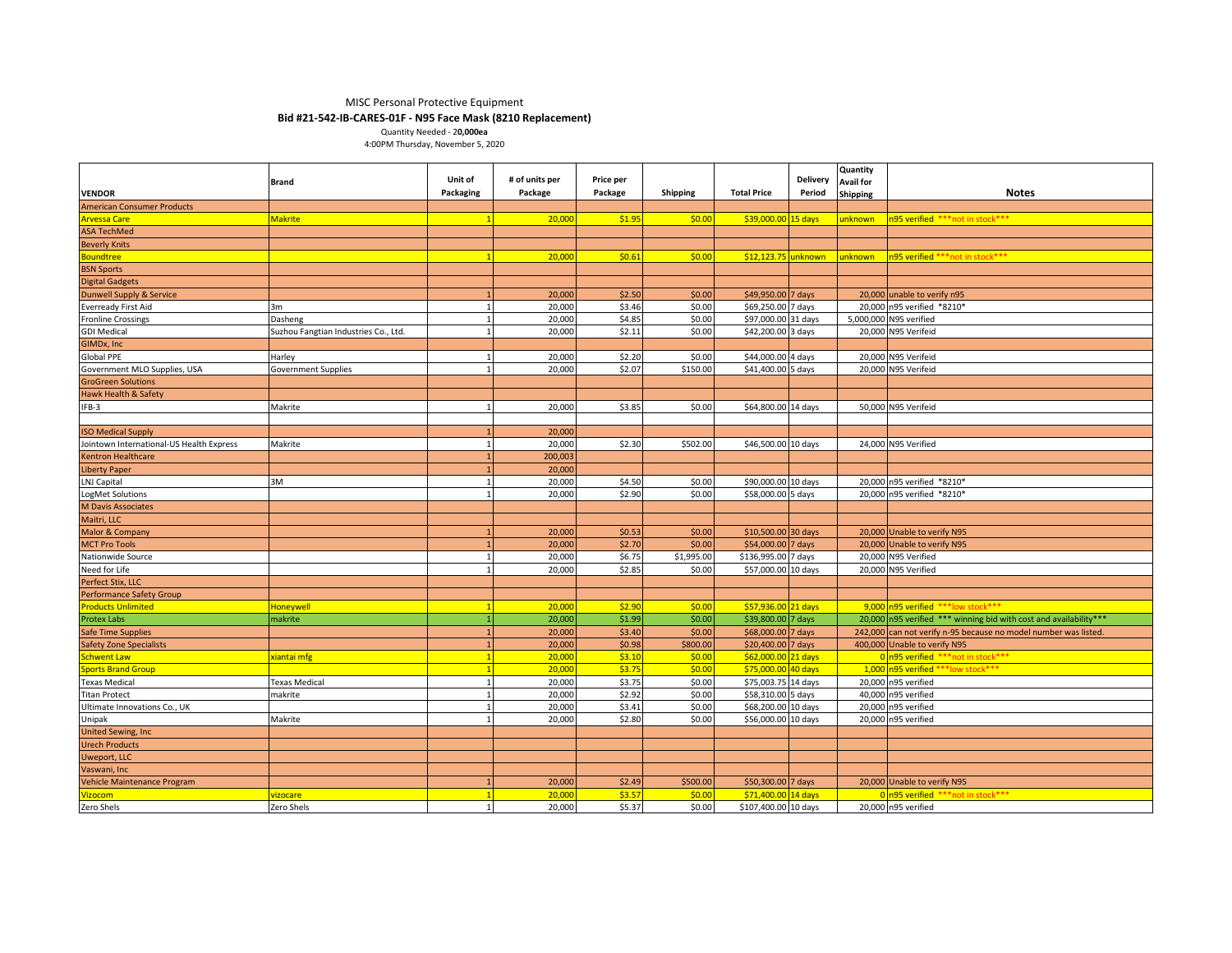### MISC Personal Protective Equipment **Bid #21-542-IB-CARES-01F - N95 Face Mask (8210 Replacement)**

Quantity Needed - 2**0,000ea** 4:00PM Thursday, November 5, 2020

|                                                             | Brand                                | Unit of                      | # of units per | Price per |                 |                      | <b>Delivery</b> | Quantity<br><b>Avail for</b> |                                                                   |
|-------------------------------------------------------------|--------------------------------------|------------------------------|----------------|-----------|-----------------|----------------------|-----------------|------------------------------|-------------------------------------------------------------------|
| <b>VENDOR</b>                                               |                                      | Packaging                    | Package        | Package   | <b>Shipping</b> | <b>Total Price</b>   | Period          | <b>Shipping</b>              | <b>Notes</b>                                                      |
| <b>American Consumer Products</b>                           |                                      |                              |                |           |                 |                      |                 |                              |                                                                   |
| <b>Arvessa Care</b>                                         | <b>Makrite</b>                       | $\overline{1}$               | 20,000         | \$1.95    | \$0.00          | \$39,000.00 15 days  |                 | unknown i                    | n95 verified ***not in stock***                                   |
| <b>ASA TechMed</b>                                          |                                      |                              |                |           |                 |                      |                 |                              |                                                                   |
| <b>Beverly Knits</b>                                        |                                      |                              |                |           |                 |                      |                 |                              |                                                                   |
| Boundtree                                                   |                                      | $\mathbf{1}$                 | 20,000         | \$0.61    | \$0.00          | \$12,123.75 unknown  |                 | unknown                      | n95 verified *** not in stock***                                  |
| <b>BSN Sports</b>                                           |                                      |                              |                |           |                 |                      |                 |                              |                                                                   |
| <b>Digital Gadgets</b>                                      |                                      |                              |                |           |                 |                      |                 |                              |                                                                   |
| <b>Dunwell Supply &amp; Service</b>                         |                                      |                              | 20,000         | \$2.50    | \$0.00          | \$49,950.00 7 days   |                 |                              | 20,000 unable to verify n95                                       |
| <b>Everready First Aid</b>                                  | 3m                                   | $\mathbf{1}$                 | 20,000         | \$3.46    | \$0.00          | \$69,250.00 7 days   |                 |                              | 20,000 n95 verified *8210*                                        |
| <b>Fronline Crossings</b>                                   | Dasheng                              | $\mathbf{1}$                 | 20,000         | \$4.85    | \$0.00          | \$97,000.00 31 days  |                 |                              | 5,000,000 N95 verified                                            |
| <b>GDI Medical</b>                                          | Suzhou Fangtian Industries Co., Ltd. | $\mathbf{1}$                 | 20,000         | \$2.11    | \$0.00          | \$42,200.00 3 days   |                 |                              | 20,000 N95 Verifeid                                               |
| GIMDx, Inc                                                  |                                      |                              |                |           |                 |                      |                 |                              |                                                                   |
| Global PPE                                                  | Harley                               | 1                            | 20,000         | \$2.20    | \$0.00          | \$44,000.00 4 days   |                 |                              | 20,000 N95 Verifeid                                               |
| Government MLO Supplies, USA                                | <b>Government Supplies</b>           | 1                            | 20,000         | \$2.07    | \$150.00        | \$41,400.00 5 days   |                 |                              | 20,000 N95 Verifeid                                               |
| <b>GroGreen Solutions</b>                                   |                                      |                              |                |           |                 |                      |                 |                              |                                                                   |
| Hawk Health & Safety                                        |                                      |                              |                |           |                 |                      |                 |                              |                                                                   |
| IFB-3                                                       | Makrite                              | $\mathbf{1}$                 | 20,000         | \$3.85    | \$0.00          | \$64,800.00 14 days  |                 |                              | 50,000 N95 Verifeid                                               |
|                                                             |                                      |                              |                |           |                 |                      |                 |                              |                                                                   |
| <b>ISO Medical Supply</b>                                   |                                      |                              | 20,000         |           |                 |                      |                 |                              |                                                                   |
| Jointown International-US Health Express                    | Makrite                              | 1                            | 20,000         | \$2.30    | \$502.00        | \$46,500.00 10 days  |                 |                              | 24,000 N95 Verified                                               |
| <b>Kentron Healthcare</b>                                   |                                      | $\overline{1}$               | 200,003        |           |                 |                      |                 |                              |                                                                   |
| <b>Liberty Paper</b>                                        |                                      |                              | 20,000         |           |                 |                      |                 |                              |                                                                   |
| LNJ Capital                                                 | 3M                                   | 1                            | 20,000         | \$4.50    | \$0.00          | \$90,000.00 10 days  |                 |                              | 20,000 n95 verified *8210*                                        |
| LogMet Solutions                                            |                                      | 1                            | 20,000         | \$2.90    | \$0.00          | \$58,000.00 5 days   |                 |                              | 20,000 n95 verified *8210*                                        |
| <b>M Davis Associates</b>                                   |                                      |                              |                |           |                 |                      |                 |                              |                                                                   |
| Maitri, LLC                                                 |                                      |                              |                |           |                 |                      |                 |                              |                                                                   |
| Malor & Company                                             |                                      |                              | 20,000         | \$0.53    | \$0.00          | \$10,500.00 30 days  |                 |                              | 20,000 Unable to verify N95                                       |
| <b>MCT Pro Tools</b>                                        |                                      |                              | 20,000         | \$2.70    | \$0.00          | \$54,000.00 7 days   |                 |                              | 20,000 Unable to verify N95                                       |
| Nationwide Source                                           |                                      | $\mathbf{1}$                 | 20,000         | \$6.75    | \$1,995.00      | \$136,995.00 7 days  |                 |                              | 20,000 N95 Verified                                               |
| Need for Life                                               |                                      | $\mathbf{1}$                 | 20,000         | \$2.85    | \$0.00          | \$57,000.00 10 days  |                 |                              | 20,000 N95 Verified                                               |
| Perfect Stix, LLC                                           |                                      |                              |                |           |                 |                      |                 |                              |                                                                   |
| <b>Performance Safety Group</b>                             |                                      |                              |                |           |                 |                      |                 |                              |                                                                   |
| <b>Products Unlimited</b>                                   |                                      | $\overline{1}$               | 20,000         | \$2.90    | \$0.00          | \$57,936.00 21 days  |                 |                              | 9.000 n95 verified *** low stock ***                              |
| Protex Labs                                                 | <b>Honeywell</b><br>makrite          | $\mathbf{1}$                 | 20,000         | \$1.99    | \$0.00          | \$39,800.00 7 days   |                 |                              | 20,000 n95 verified *** winning bid with cost and availability*** |
|                                                             |                                      |                              | 20,000         | \$3.40    | \$0.00          | \$68,000.00 7 days   |                 |                              | 242,000 can not verify n-95 because no model number was listed.   |
| <b>Safe Time Supplies</b><br><b>Safety Zone Specialists</b> |                                      |                              | 20,000         | \$0.98    | \$800.00        | \$20,400.00 7 days   |                 |                              | 400,000 Unable to verify N95                                      |
| chwent Law                                                  | siantai mfg                          | $\overline{1}$               | 20,00          | \$3.10    | \$0.00          | \$62,000.00 21 days  |                 |                              | 0 n95 verified *** not in stock***                                |
|                                                             |                                      |                              | 20,00          | \$3.75    | \$0.00          | \$75,000.00          |                 |                              | 1,000 n95 verified *** low stock ***                              |
| ports Brand Group<br><b>Texas Medical</b>                   |                                      | $\mathbf{1}$<br>$\mathbf{1}$ | 20,000         | \$3.75    | \$0.00          | \$75,003.75 14 days  | 40 days         |                              | 20,000 n95 verified                                               |
|                                                             | <b>Texas Medical</b>                 |                              |                |           |                 |                      |                 |                              |                                                                   |
| <b>Titan Protect</b>                                        | makrite                              | $\mathbf{1}$                 | 20,000         | \$2.92    | \$0.00          | \$58,310.00 5 days   |                 |                              | 40,000 n95 verified                                               |
| Ultimate Innovations Co., UK                                |                                      | $\mathbf{1}$                 | 20,000         | \$3.41    | \$0.00          | \$68,200.00 10 days  |                 |                              | 20,000 n95 verified                                               |
| Unipak                                                      | Makrite                              | 1                            | 20,000         | \$2.80    | \$0.00          | \$56,000.00 10 days  |                 |                              | 20,000 n95 verified                                               |
| <b>United Sewing, Inc</b>                                   |                                      |                              |                |           |                 |                      |                 |                              |                                                                   |
| <b>Urech Products</b>                                       |                                      |                              |                |           |                 |                      |                 |                              |                                                                   |
| <b>Uweport, LLC</b>                                         |                                      |                              |                |           |                 |                      |                 |                              |                                                                   |
| Vaswani, Inc                                                |                                      |                              |                |           |                 |                      |                 |                              |                                                                   |
| Vehicle Maintenance Program                                 |                                      |                              | 20,000         | \$2.49    | \$500.00        | \$50,300.00 7 days   |                 |                              | 20,000 Unable to verify N95                                       |
| <b>Vizocom</b>                                              | vizocare                             | $\overline{1}$               | 20,000         | \$3.57    | \$0.00          | \$71,400.00 14 days  |                 |                              | 0 n95 verified *** not in stock***                                |
| Zero Shels                                                  | Zero Shels                           | $\mathbf{1}$                 | 20,000         | \$5.37    | \$0.00          | \$107,400.00 10 days |                 |                              | 20,000 n95 verified                                               |